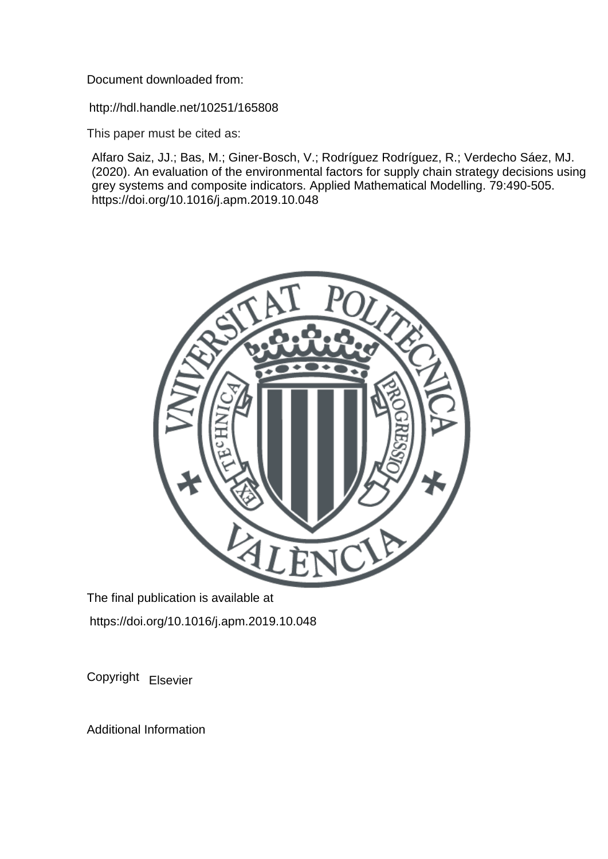Document downloaded from:

http://hdl.handle.net/10251/165808

This paper must be cited as:

Alfaro Saiz, JJ.; Bas, M.; Giner-Bosch, V.; Rodríguez Rodríguez, R.; Verdecho Sáez, MJ. (2020). An evaluation of the environmental factors for supply chain strategy decisions using grey systems and composite indicators. Applied Mathematical Modelling. 79:490-505. https://doi.org/10.1016/j.apm.2019.10.048



The final publication is available at https://doi.org/10.1016/j.apm.2019.10.048

Copyright Elsevier

Additional Information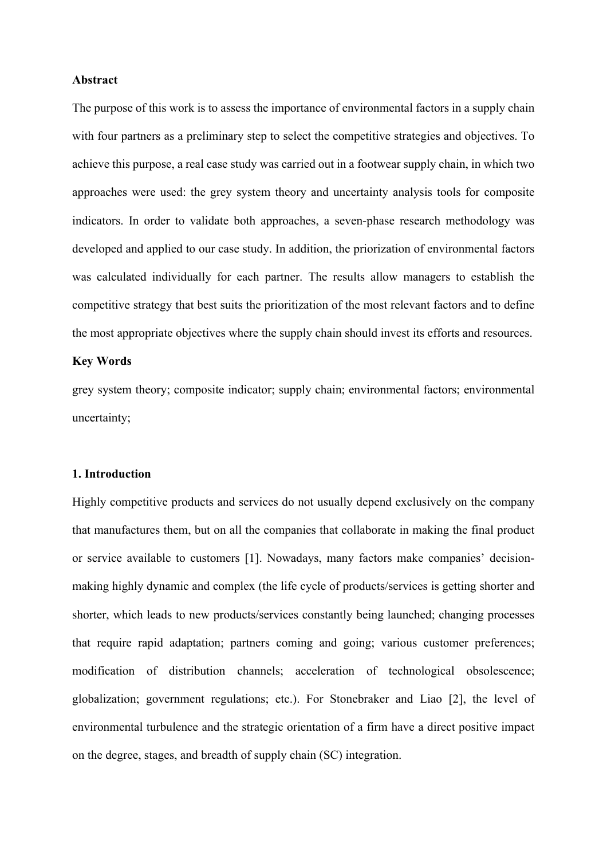#### **Abstract**

The purpose of this work is to assess the importance of environmental factors in a supply chain with four partners as a preliminary step to select the competitive strategies and objectives. To achieve this purpose, a real case study was carried out in a footwear supply chain, in which two approaches were used: the grey system theory and uncertainty analysis tools for composite indicators. In order to validate both approaches, a seven-phase research methodology was developed and applied to our case study. In addition, the priorization of environmental factors was calculated individually for each partner. The results allow managers to establish the competitive strategy that best suits the prioritization of the most relevant factors and to define the most appropriate objectives where the supply chain should invest its efforts and resources.

## **Key Words**

grey system theory; composite indicator; supply chain; environmental factors; environmental uncertainty;

## **1. Introduction**

Highly competitive products and services do not usually depend exclusively on the company that manufactures them, but on all the companies that collaborate in making the final product or service available to customers [1]. Nowadays, many factors make companies' decisionmaking highly dynamic and complex (the life cycle of products/services is getting shorter and shorter, which leads to new products/services constantly being launched; changing processes that require rapid adaptation; partners coming and going; various customer preferences; modification of distribution channels; acceleration of technological obsolescence; globalization; government regulations; etc.). For Stonebraker and Liao [2], the level of environmental turbulence and the strategic orientation of a firm have a direct positive impact on the degree, stages, and breadth of supply chain (SC) integration.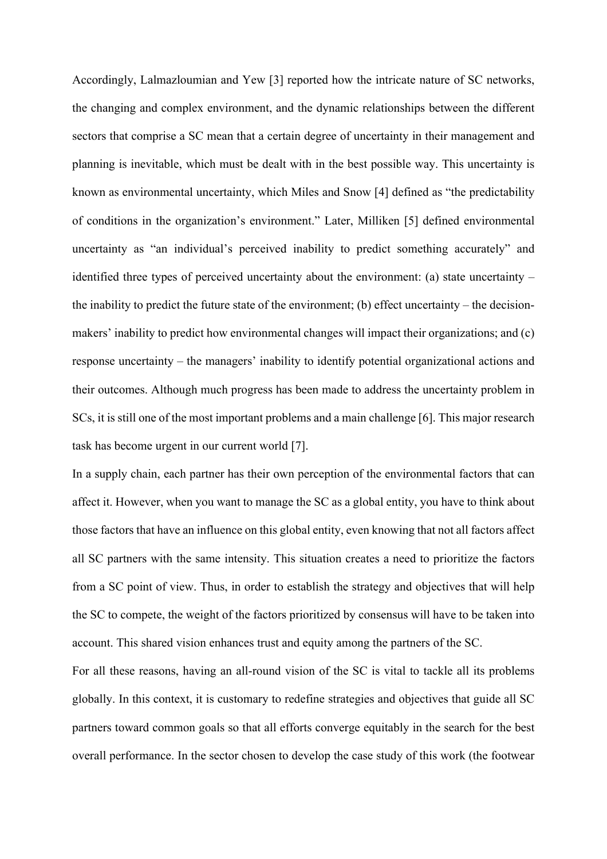Accordingly, Lalmazloumian and Yew [3] reported how the intricate nature of SC networks, the changing and complex environment, and the dynamic relationships between the different sectors that comprise a SC mean that a certain degree of uncertainty in their management and planning is inevitable, which must be dealt with in the best possible way. This uncertainty is known as environmental uncertainty, which Miles and Snow [4] defined as "the predictability of conditions in the organization's environment." Later, Milliken [5] defined environmental uncertainty as "an individual's perceived inability to predict something accurately" and identified three types of perceived uncertainty about the environment: (a) state uncertainty – the inability to predict the future state of the environment; (b) effect uncertainty – the decisionmakers' inability to predict how environmental changes will impact their organizations; and (c) response uncertainty – the managers' inability to identify potential organizational actions and their outcomes. Although much progress has been made to address the uncertainty problem in SCs, it is still one of the most important problems and a main challenge [6]. This major research task has become urgent in our current world [7].

In a supply chain, each partner has their own perception of the environmental factors that can affect it. However, when you want to manage the SC as a global entity, you have to think about those factors that have an influence on this global entity, even knowing that not all factors affect all SC partners with the same intensity. This situation creates a need to prioritize the factors from a SC point of view. Thus, in order to establish the strategy and objectives that will help the SC to compete, the weight of the factors prioritized by consensus will have to be taken into account. This shared vision enhances trust and equity among the partners of the SC.

For all these reasons, having an all-round vision of the SC is vital to tackle all its problems globally. In this context, it is customary to redefine strategies and objectives that guide all SC partners toward common goals so that all efforts converge equitably in the search for the best overall performance. In the sector chosen to develop the case study of this work (the footwear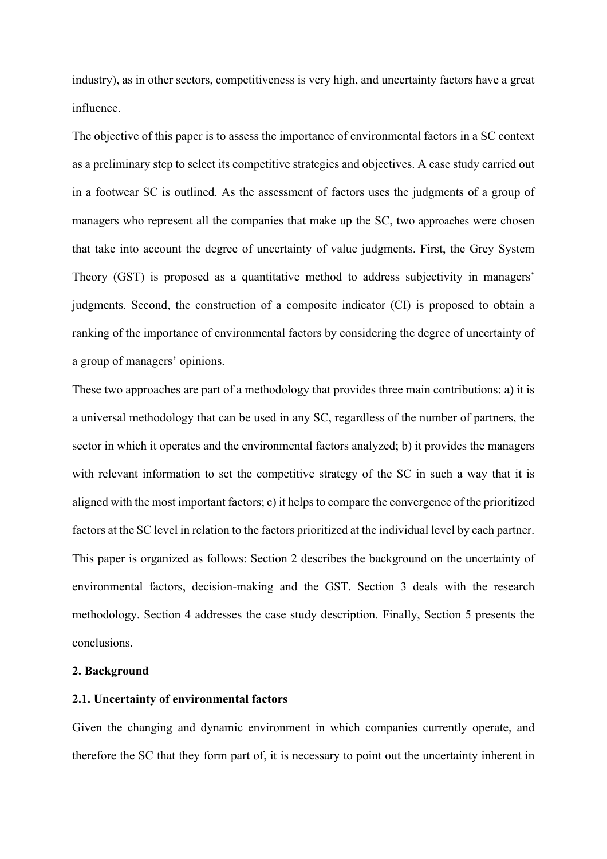industry), as in other sectors, competitiveness is very high, and uncertainty factors have a great influence.

The objective of this paper is to assess the importance of environmental factors in a SC context as a preliminary step to select its competitive strategies and objectives. A case study carried out in a footwear SC is outlined. As the assessment of factors uses the judgments of a group of managers who represent all the companies that make up the SC, two approaches were chosen that take into account the degree of uncertainty of value judgments. First, the Grey System Theory (GST) is proposed as a quantitative method to address subjectivity in managers' judgments. Second, the construction of a composite indicator (CI) is proposed to obtain a ranking of the importance of environmental factors by considering the degree of uncertainty of a group of managers' opinions.

These two approaches are part of a methodology that provides three main contributions: a) it is a universal methodology that can be used in any SC, regardless of the number of partners, the sector in which it operates and the environmental factors analyzed; b) it provides the managers with relevant information to set the competitive strategy of the SC in such a way that it is aligned with the most important factors; c) it helps to compare the convergence of the prioritized factors at the SC level in relation to the factors prioritized at the individual level by each partner. This paper is organized as follows: Section 2 describes the background on the uncertainty of environmental factors, decision-making and the GST. Section 3 deals with the research methodology. Section 4 addresses the case study description. Finally, Section 5 presents the conclusions.

### **2. Background**

### **2.1. Uncertainty of environmental factors**

Given the changing and dynamic environment in which companies currently operate, and therefore the SC that they form part of, it is necessary to point out the uncertainty inherent in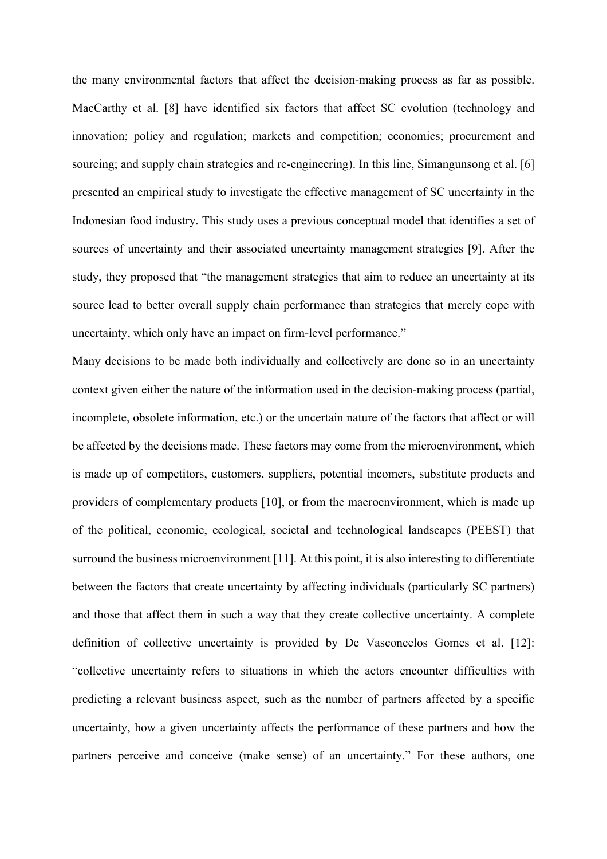the many environmental factors that affect the decision-making process as far as possible. MacCarthy et al. [8] have identified six factors that affect SC evolution (technology and innovation; policy and regulation; markets and competition; economics; procurement and sourcing; and supply chain strategies and re-engineering). In this line, Simangunsong et al. [6] presented an empirical study to investigate the effective management of SC uncertainty in the Indonesian food industry. This study uses a previous conceptual model that identifies a set of sources of uncertainty and their associated uncertainty management strategies [9]. After the study, they proposed that "the management strategies that aim to reduce an uncertainty at its source lead to better overall supply chain performance than strategies that merely cope with uncertainty, which only have an impact on firm-level performance."

Many decisions to be made both individually and collectively are done so in an uncertainty context given either the nature of the information used in the decision-making process (partial, incomplete, obsolete information, etc.) or the uncertain nature of the factors that affect or will be affected by the decisions made. These factors may come from the microenvironment, which is made up of competitors, customers, suppliers, potential incomers, substitute products and providers of complementary products [10], or from the macroenvironment, which is made up of the political, economic, ecological, societal and technological landscapes (PEEST) that surround the business microenvironment [11]. At this point, it is also interesting to differentiate between the factors that create uncertainty by affecting individuals (particularly SC partners) and those that affect them in such a way that they create collective uncertainty. A complete definition of collective uncertainty is provided by De Vasconcelos Gomes et al. [12]: "collective uncertainty refers to situations in which the actors encounter difficulties with predicting a relevant business aspect, such as the number of partners affected by a specific uncertainty, how a given uncertainty affects the performance of these partners and how the partners perceive and conceive (make sense) of an uncertainty." For these authors, one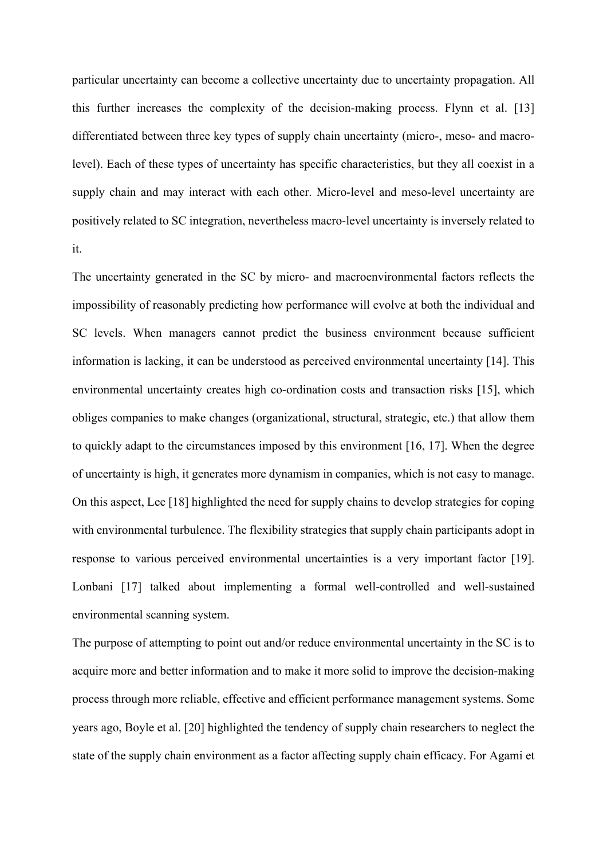particular uncertainty can become a collective uncertainty due to uncertainty propagation. All this further increases the complexity of the decision-making process. Flynn et al. [13] differentiated between three key types of supply chain uncertainty (micro-, meso- and macrolevel). Each of these types of uncertainty has specific characteristics, but they all coexist in a supply chain and may interact with each other. Micro-level and meso-level uncertainty are positively related to SC integration, nevertheless macro-level uncertainty is inversely related to it.

The uncertainty generated in the SC by micro- and macroenvironmental factors reflects the impossibility of reasonably predicting how performance will evolve at both the individual and SC levels. When managers cannot predict the business environment because sufficient information is lacking, it can be understood as perceived environmental uncertainty [14]. This environmental uncertainty creates high co-ordination costs and transaction risks [15], which obliges companies to make changes (organizational, structural, strategic, etc.) that allow them to quickly adapt to the circumstances imposed by this environment [16, 17]. When the degree of uncertainty is high, it generates more dynamism in companies, which is not easy to manage. On this aspect, Lee [18] highlighted the need for supply chains to develop strategies for coping with environmental turbulence. The flexibility strategies that supply chain participants adopt in response to various perceived environmental uncertainties is a very important factor [19]. Lonbani [17] talked about implementing a formal well-controlled and well-sustained environmental scanning system.

The purpose of attempting to point out and/or reduce environmental uncertainty in the SC is to acquire more and better information and to make it more solid to improve the decision-making process through more reliable, effective and efficient performance management systems. Some years ago, Boyle et al. [20] highlighted the tendency of supply chain researchers to neglect the state of the supply chain environment as a factor affecting supply chain efficacy. For Agami et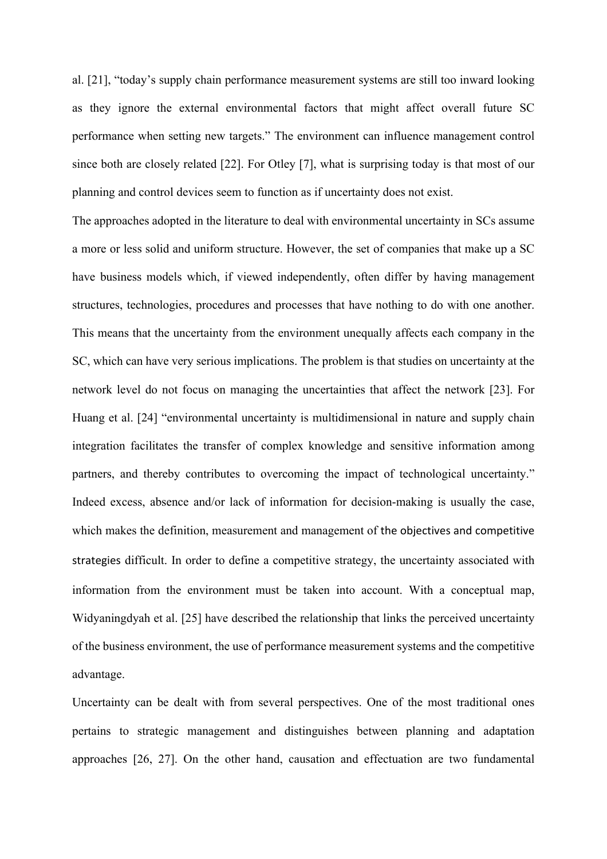al. [21], "today's supply chain performance measurement systems are still too inward looking as they ignore the external environmental factors that might affect overall future SC performance when setting new targets." The environment can influence management control since both are closely related [22]. For Otley [7], what is surprising today is that most of our planning and control devices seem to function as if uncertainty does not exist.

The approaches adopted in the literature to deal with environmental uncertainty in SCs assume a more or less solid and uniform structure. However, the set of companies that make up a SC have business models which, if viewed independently, often differ by having management structures, technologies, procedures and processes that have nothing to do with one another. This means that the uncertainty from the environment unequally affects each company in the SC, which can have very serious implications. The problem is that studies on uncertainty at the network level do not focus on managing the uncertainties that affect the network [23]. For Huang et al. [24] "environmental uncertainty is multidimensional in nature and supply chain integration facilitates the transfer of complex knowledge and sensitive information among partners, and thereby contributes to overcoming the impact of technological uncertainty." Indeed excess, absence and/or lack of information for decision-making is usually the case, which makes the definition, measurement and management of the objectives and competitive strategies difficult. In order to define a competitive strategy, the uncertainty associated with information from the environment must be taken into account. With a conceptual map, Widyaningdyah et al. [25] have described the relationship that links the perceived uncertainty of the business environment, the use of performance measurement systems and the competitive advantage.

Uncertainty can be dealt with from several perspectives. One of the most traditional ones pertains to strategic management and distinguishes between planning and adaptation approaches [26, 27]. On the other hand, causation and effectuation are two fundamental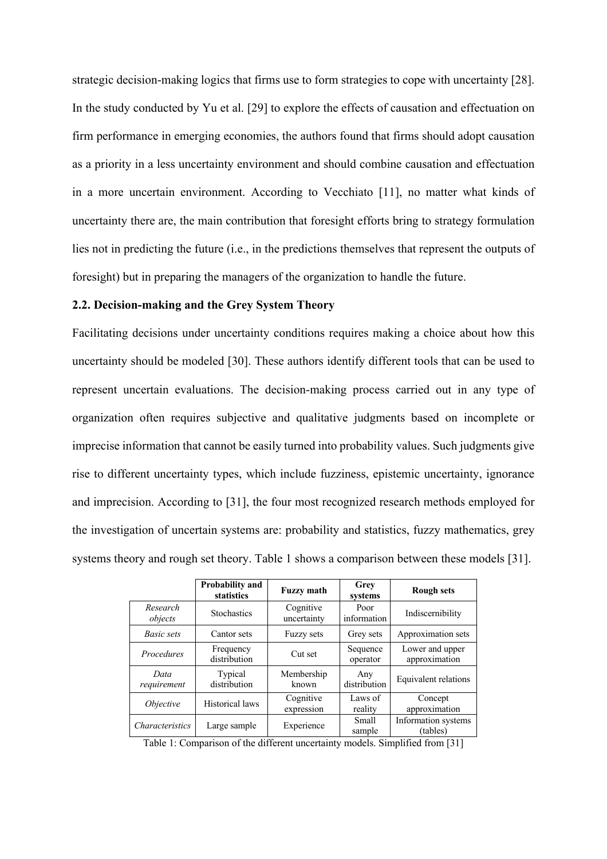strategic decision-making logics that firms use to form strategies to cope with uncertainty [28]. In the study conducted by Yu et al. [29] to explore the effects of causation and effectuation on firm performance in emerging economies, the authors found that firms should adopt causation as a priority in a less uncertainty environment and should combine causation and effectuation in a more uncertain environment. According to Vecchiato [11], no matter what kinds of uncertainty there are, the main contribution that foresight efforts bring to strategy formulation lies not in predicting the future (i.e., in the predictions themselves that represent the outputs of foresight) but in preparing the managers of the organization to handle the future.

### **2.2. Decision-making and the Grey System Theory**

Facilitating decisions under uncertainty conditions requires making a choice about how this uncertainty should be modeled [30]. These authors identify different tools that can be used to represent uncertain evaluations. The decision-making process carried out in any type of organization often requires subjective and qualitative judgments based on incomplete or imprecise information that cannot be easily turned into probability values. Such judgments give rise to different uncertainty types, which include fuzziness, epistemic uncertainty, ignorance and imprecision. According to [31], the four most recognized research methods employed for the investigation of uncertain systems are: probability and statistics, fuzzy mathematics, grey systems theory and rough set theory. Table 1 shows a comparison between these models [31].

|                        | <b>Probability and</b><br>statistics | <b>Fuzzy math</b>        | Grey<br>systems        | <b>Rough sets</b>                |
|------------------------|--------------------------------------|--------------------------|------------------------|----------------------------------|
| Research<br>objects    | <b>Stochastics</b>                   | Cognitive<br>uncertainty | Poor<br>information    | Indiscernibility                 |
| Basic sets             | Cantor sets                          | <b>Fuzzy sets</b>        | Grey sets              | Approximation sets               |
| Procedures             | Frequency<br>distribution            | Cut set                  | Sequence<br>operator   | Lower and upper<br>approximation |
| Data<br>requirement    | Typical<br>distribution              | Membership<br>known      | Any<br>distribution    | Equivalent relations             |
| <i>Objective</i>       | Historical laws                      | Cognitive<br>expression  | Laws of<br>reality     | Concept<br>approximation         |
| <i>Characteristics</i> | Large sample                         | Experience               | <b>Small</b><br>sample | Information systems<br>(tables)  |

Table 1: Comparison of the different uncertainty models. Simplified from [31]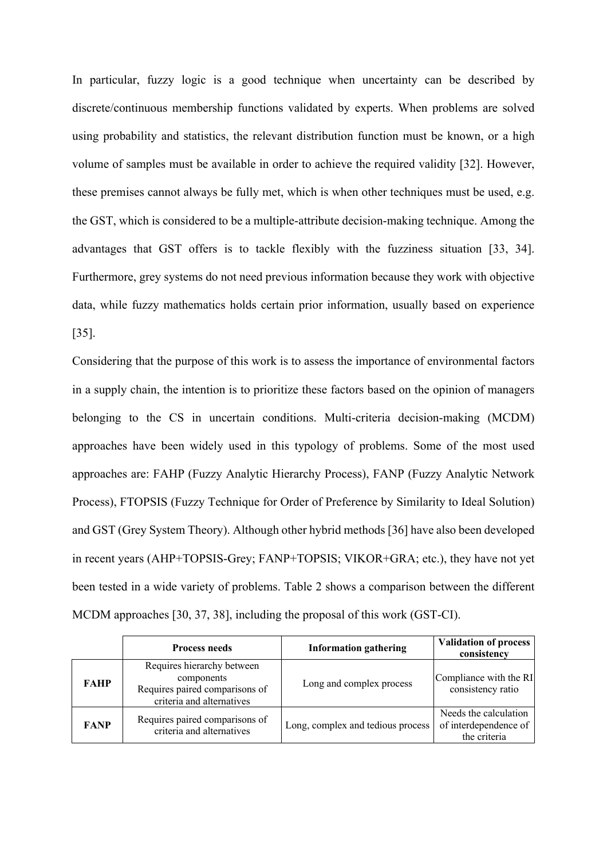In particular, fuzzy logic is a good technique when uncertainty can be described by discrete/continuous membership functions validated by experts. When problems are solved using probability and statistics, the relevant distribution function must be known, or a high volume of samples must be available in order to achieve the required validity [32]. However, these premises cannot always be fully met, which is when other techniques must be used, e.g. the GST, which is considered to be a multiple-attribute decision-making technique. Among the advantages that GST offers is to tackle flexibly with the fuzziness situation [33, 34]. Furthermore, grey systems do not need previous information because they work with objective data, while fuzzy mathematics holds certain prior information, usually based on experience [35].

Considering that the purpose of this work is to assess the importance of environmental factors in a supply chain, the intention is to prioritize these factors based on the opinion of managers belonging to the CS in uncertain conditions. Multi-criteria decision-making (MCDM) approaches have been widely used in this typology of problems. Some of the most used approaches are: FAHP (Fuzzy Analytic Hierarchy Process), FANP (Fuzzy Analytic Network Process), FTOPSIS (Fuzzy Technique for Order of Preference by Similarity to Ideal Solution) and GST (Grey System Theory). Although other hybrid methods [36] have also been developed in recent years (AHP+TOPSIS-Grey; FANP+TOPSIS; VIKOR+GRA; etc.), they have not yet been tested in a wide variety of problems. Table 2 shows a comparison between the different MCDM approaches [30, 37, 38], including the proposal of this work (GST-CI).

|             | <b>Process needs</b>                                                                                    | <b>Information gathering</b>      | <b>Validation of process</b><br>consistency                    |
|-------------|---------------------------------------------------------------------------------------------------------|-----------------------------------|----------------------------------------------------------------|
| <b>FAHP</b> | Requires hierarchy between<br>components<br>Requires paired comparisons of<br>criteria and alternatives | Long and complex process          | Compliance with the RI<br>consistency ratio                    |
| <b>FANP</b> | Requires paired comparisons of<br>criteria and alternatives                                             | Long, complex and tedious process | Needs the calculation<br>of interdependence of<br>the criteria |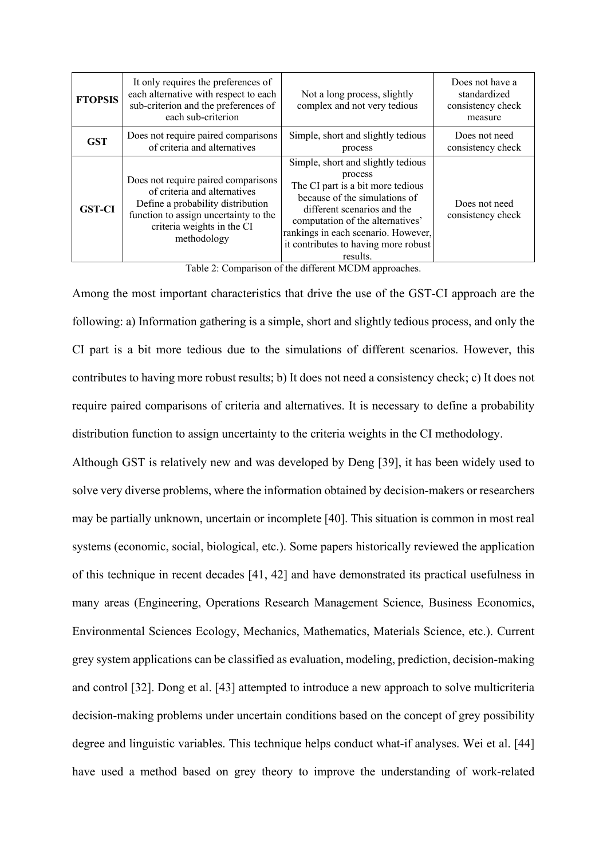| <b>FTOPSIS</b> | It only requires the preferences of<br>each alternative with respect to each<br>sub-criterion and the preferences of<br>each sub-criterion                                                     | Not a long process, slightly<br>complex and not very tedious                                                                                                                                                                                                                      | Does not have a<br>standardized<br>consistency check<br>measure |
|----------------|------------------------------------------------------------------------------------------------------------------------------------------------------------------------------------------------|-----------------------------------------------------------------------------------------------------------------------------------------------------------------------------------------------------------------------------------------------------------------------------------|-----------------------------------------------------------------|
| <b>GST</b>     | Does not require paired comparisons<br>of criteria and alternatives                                                                                                                            | Simple, short and slightly tedious<br>process                                                                                                                                                                                                                                     | Does not need<br>consistency check                              |
| <b>GST-CI</b>  | Does not require paired comparisons<br>of criteria and alternatives<br>Define a probability distribution<br>function to assign uncertainty to the<br>criteria weights in the CI<br>methodology | Simple, short and slightly tedious<br>process<br>The CI part is a bit more tedious<br>because of the simulations of<br>different scenarios and the<br>computation of the alternatives'<br>rankings in each scenario. However,<br>it contributes to having more robust<br>results. | Does not need<br>consistency check                              |

Table 2: Comparison of the different MCDM approaches.

Among the most important characteristics that drive the use of the GST-CI approach are the following: a) Information gathering is a simple, short and slightly tedious process, and only the CI part is a bit more tedious due to the simulations of different scenarios. However, this contributes to having more robust results; b) It does not need a consistency check; c) It does not require paired comparisons of criteria and alternatives. It is necessary to define a probability distribution function to assign uncertainty to the criteria weights in the CI methodology.

Although GST is relatively new and was developed by Deng [39], it has been widely used to solve very diverse problems, where the information obtained by decision-makers or researchers may be partially unknown, uncertain or incomplete [40]. This situation is common in most real systems (economic, social, biological, etc.). Some papers historically reviewed the application of this technique in recent decades [41, 42] and have demonstrated its practical usefulness in many areas (Engineering, Operations Research Management Science, Business Economics, Environmental Sciences Ecology, Mechanics, Mathematics, Materials Science, etc.). Current grey system applications can be classified as evaluation, modeling, prediction, decision-making and control [32]. Dong et al. [43] attempted to introduce a new approach to solve multicriteria decision-making problems under uncertain conditions based on the concept of grey possibility degree and linguistic variables. This technique helps conduct what-if analyses. Wei et al. [44] have used a method based on grey theory to improve the understanding of work-related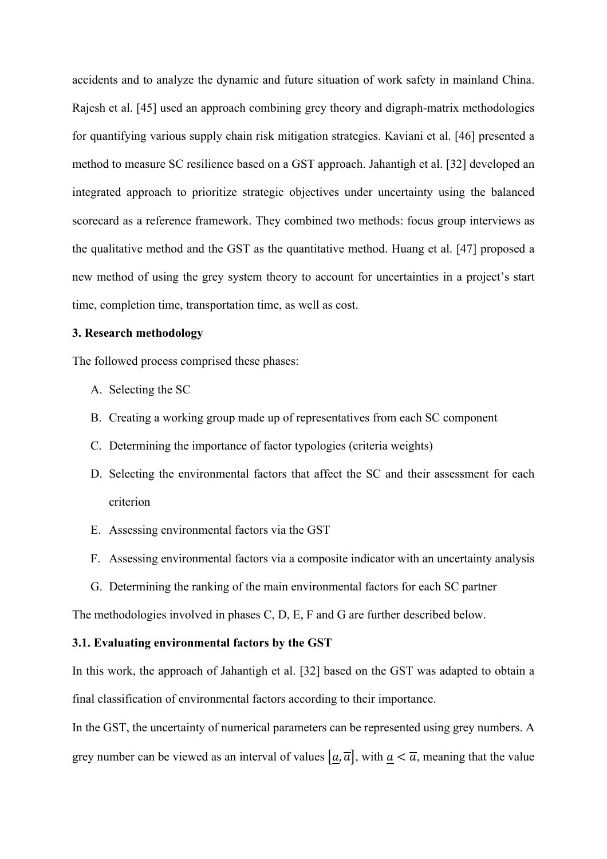accidents and to analyze the dynamic and future situation of work safety in mainland China. Rajesh et al. [45] used an approach combining grey theory and digraph-matrix methodologies for quantifying various supply chain risk mitigation strategies. Kaviani et al. [46] presented a method to measure SC resilience based on a GST approach. Jahantigh et al. [32] developed an integrated approach to prioritize strategic objectives under uncertainty using the balanced scorecard as a reference framework. They combined two methods: focus group interviews as the qualitative method and the GST as the quantitative method. Huang et al. [47] proposed a new method of using the grey system theory to account for uncertainties in a project's start time, completion time, transportation time, as well as cost.

### **3. Research methodology**

The followed process comprised these phases:

- A. Selecting the SC
- B. Creating a working group made up of representatives from each SC component
- C. Determining the importance of factor typologies (criteria weights)
- D. Selecting the environmental factors that affect the SC and their assessment for each criterion
- E. Assessing environmental factors via the GST
- F. Assessing environmental factors via a composite indicator with an uncertainty analysis
- G. Determining the ranking of the main environmental factors for each SC partner

The methodologies involved in phases C, D, E, F and G are further described below.

# **3.1. Evaluating environmental factors by the GST**

In this work, the approach of Jahantigh et al. [32] based on the GST was adapted to obtain a final classification of environmental factors according to their importance.

In the GST, the uncertainty of numerical parameters can be represented using grey numbers. A grey number can be viewed as an interval of values  $[a, \overline{a}]$ , with  $a < \overline{a}$ , meaning that the value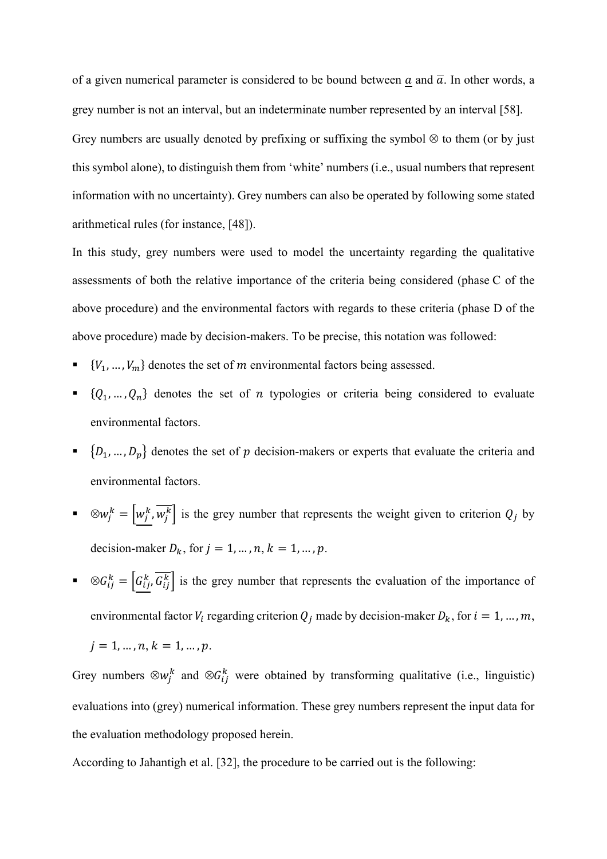of a given numerical parameter is considered to be bound between a and  $\overline{a}$ . In other words, a grey number is not an interval, but an indeterminate number represented by an interval [58]. Grey numbers are usually denoted by prefixing or suffixing the symbol  $\otimes$  to them (or by just this symbol alone), to distinguish them from 'white' numbers (i.e., usual numbers that represent information with no uncertainty). Grey numbers can also be operated by following some stated arithmetical rules (for instance, [48]).

In this study, grey numbers were used to model the uncertainty regarding the qualitative assessments of both the relative importance of the criteria being considered (phase C of the above procedure) and the environmental factors with regards to these criteria (phase D of the above procedure) made by decision-makers. To be precise, this notation was followed:

- ${V_1, ..., V_m}$  denotes the set of *m* environmental factors being assessed.
- $\{Q_1, ..., Q_n\}$  denotes the set of *n* typologies or criteria being considered to evaluate environmental factors.
- $\{D_1, ..., D_p\}$  denotes the set of  $p$  decision-makers or experts that evaluate the criteria and environmental factors.
- $\mathbb{R}^n$   $\otimes w_j^k = \left| w_j^k, w_j^k \right|$  is the grey number that represents the weight given to criterion  $Q_j$  by decision-maker  $D_k$ , for  $j = 1, ..., n, k = 1, ..., p$ .
- $\bullet \quad \otimes G_{ij}^k = \left| G_{ij}^k, G_{ij}^k \right|$  is the grey number that represents the evaluation of the importance of environmental factor  $V_i$  regarding criterion  $Q_j$  made by decision-maker  $D_k$ , for  $i = 1, ..., m$ ,

$$
j = 1, ..., n, k = 1, ..., p.
$$

Grey numbers  $\otimes w_j^k$  and  $\otimes G_{ij}^k$  were obtained by transforming qualitative (i.e., linguistic) evaluations into (grey) numerical information. These grey numbers represent the input data for the evaluation methodology proposed herein.

According to Jahantigh et al. [32], the procedure to be carried out is the following: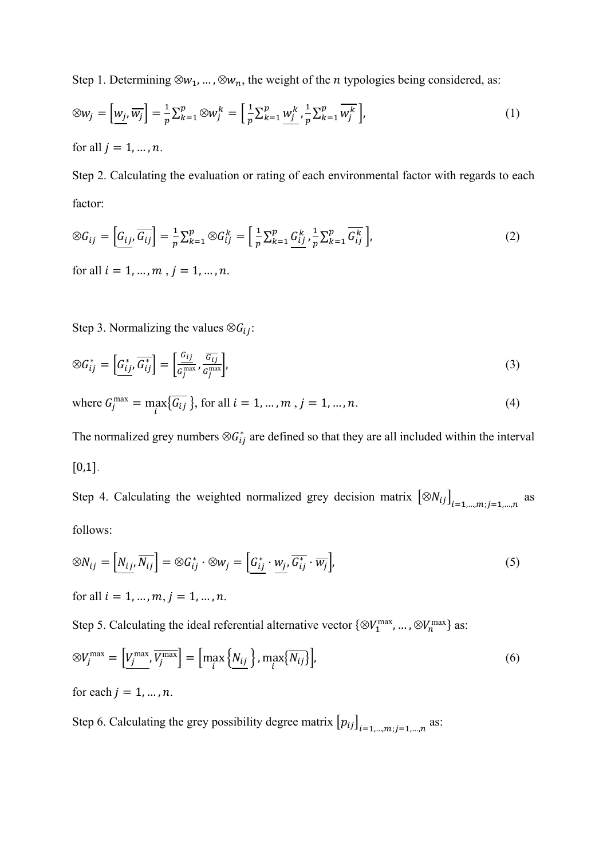Step 1. Determining  $\otimes w_1, ..., \otimes w_n$ , the weight of the *n* typologies being considered, as:

$$
\otimes w_j = \left[\underline{w_j}, \overline{w_j}\right] = \frac{1}{p} \sum_{k=1}^p \otimes w_j^k = \left[\frac{1}{p} \sum_{k=1}^p \underline{w_j^k}, \frac{1}{p} \sum_{k=1}^p \overline{w_j^k}\right],\tag{1}
$$

for all  $j = 1, ..., n$ .

Step 2. Calculating the evaluation or rating of each environmental factor with regards to each factor:

$$
\otimes G_{ij} = \left[ G_{ij}, \overline{G_{ij}} \right] = \frac{1}{p} \sum_{k=1}^{p} \otimes G_{ij}^{k} = \left[ \frac{1}{p} \sum_{k=1}^{p} \frac{G_{ij}^{k}}{p} , \frac{1}{p} \sum_{k=1}^{p} \overline{G_{ij}^{k}} \right],
$$
\n
$$
\text{for all } i = 1, \dots, m \text{ , } j = 1, \dots, n. \tag{2}
$$

Step 3. Normalizing the values  $\otimes G_{ij}$ :

$$
\otimes G_{ij}^* = \left[ \underline{G_{ij}^*}, \overline{G_{ij}^*} \right] = \left[ \frac{G_{ij}}{G_j^{\max}}, \frac{\overline{G_{ij}}}{G_j^{\max}} \right],\tag{3}
$$

where 
$$
G_j^{\max} = \max_i \{ \overline{G_{ij}} \}
$$
, for all  $i = 1, ..., m$ ,  $j = 1, ..., n$ . (4)

The normalized grey numbers  $\otimes G_{ij}^*$  are defined so that they are all included within the interval  $[0,1].$ 

Step 4. Calculating the weighted normalized grey decision matrix  $\left[\otimes N_{ij}\right]_{i=1,\dots,m; j=1,\dots,n}$  as follows:

$$
\otimes N_{ij} = \left[ N_{ij}, \overline{N_{ij}} \right] = \otimes G_{ij}^* \cdot \otimes w_j = \left[ \underline{G_{ij}^*} \cdot \underline{w_j}, \overline{G_{ij}^*} \cdot \overline{w_j} \right],\tag{5}
$$

for all  $i = 1, ..., m, j = 1, ..., n$ .

Step 5. Calculating the ideal referential alternative vector  $\{\otimes V_1^{\max}, ..., \otimes V_n^{\max}\}\$  as:

$$
\otimes V_j^{\max} = \left[\underline{V_j^{\max}}, \overline{V_j^{\max}}\right] = \left[\max_i \left\{\underline{N}_{ij}\right\}, \max_i \left\{\overline{N}_{ij}\right\}\right],\tag{6}
$$

for each  $j = 1, ..., n$ .

Step 6. Calculating the grey possibility degree matrix  $[p_{ij}]_{i=1,\dots,m; j=1,\dots,n}$  as: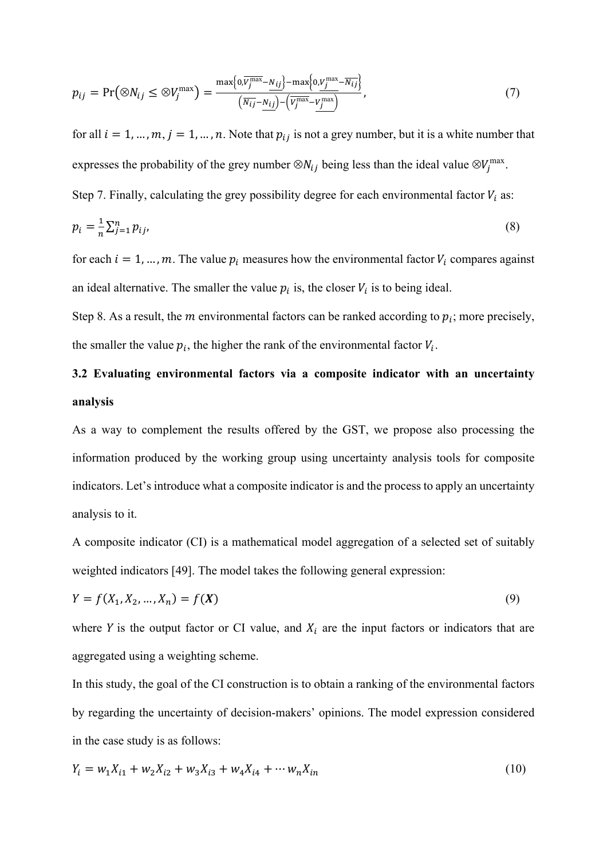$$
p_{ij} = \Pr\left(\otimes N_{ij} \le \otimes V_j^{\max}\right) = \frac{\max\{0,\overline{V_j^{\max}} - N_{ij}\} - \max\{0,\underline{V_j^{\max}} - \overline{N_{ij}}\}}{\left(\overline{N_{ij}} - \underline{N_{ij}}\right) - \left(\overline{V_j^{\max}} - \underline{V_j^{\max}}\right)},\tag{7}
$$

for all  $i = 1, ..., m, j = 1, ..., n$ . Note that  $p_{ij}$  is not a grey number, but it is a white number that expresses the probability of the grey number  $\otimes N_{ij}$  being less than the ideal value  $\otimes V_j^{\max}$ .

Step 7. Finally, calculating the grey possibility degree for each environmental factor  $V_i$  as:

$$
p_i = \frac{1}{n} \sum_{j=1}^n p_{ij},\tag{8}
$$

for each  $i = 1, ..., m$ . The value  $p_i$  measures how the environmental factor  $V_i$  compares against an ideal alternative. The smaller the value  $p_i$  is, the closer  $V_i$  is to being ideal.

Step 8. As a result, the *m* environmental factors can be ranked according to  $p_i$ ; more precisely, the smaller the value  $p_i$ , the higher the rank of the environmental factor  $V_i$ .

# **3.2 Evaluating environmental factors via a composite indicator with an uncertainty analysis**

As a way to complement the results offered by the GST, we propose also processing the information produced by the working group using uncertainty analysis tools for composite indicators. Let's introduce what a composite indicator is and the process to apply an uncertainty analysis to it.

A composite indicator (CI) is a mathematical model aggregation of a selected set of suitably weighted indicators [49]. The model takes the following general expression:

$$
Y = f(X_1, X_2, ..., X_n) = f(X)
$$
\n(9)

where Y is the output factor or CI value, and  $X_i$  are the input factors or indicators that are aggregated using a weighting scheme.

In this study, the goal of the CI construction is to obtain a ranking of the environmental factors by regarding the uncertainty of decision-makers' opinions. The model expression considered in the case study is as follows:

$$
Y_i = w_1 X_{i1} + w_2 X_{i2} + w_3 X_{i3} + w_4 X_{i4} + \cdots w_n X_{in}
$$
\n<sup>(10)</sup>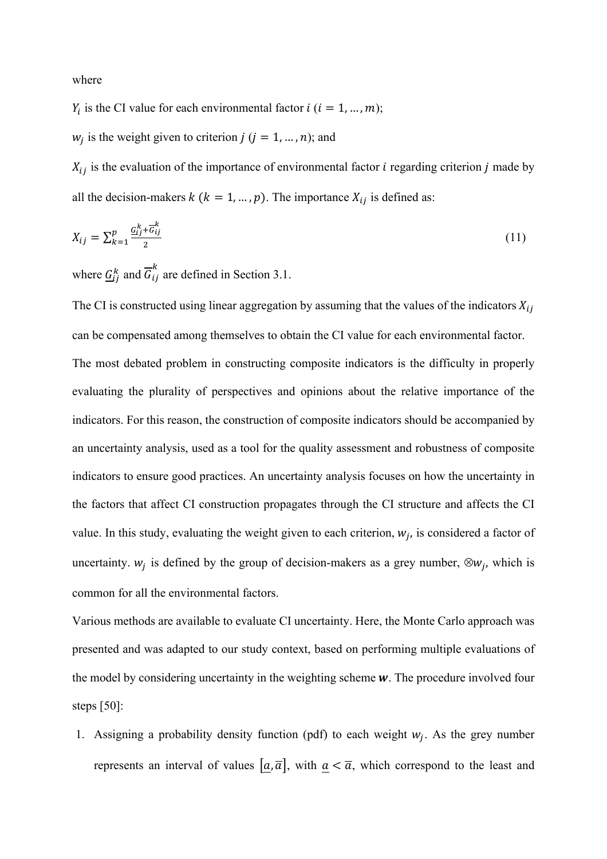where

 $Y_i$  is the CI value for each environmental factor  $i$  ( $i = 1, ..., m$ );

 $w_i$  is the weight given to criterion  $j$  ( $j = 1, ..., n$ ); and

 $X_{ij}$  is the evaluation of the importance of environmental factor *i* regarding criterion *j* made by all the decision-makers  $k$  ( $k = 1, ..., p$ ). The importance  $X_{ij}$  is defined as:

$$
X_{ij} = \sum_{k=1}^{p} \frac{G_{ij}^k + \overline{G}_{ij}^k}{2} \tag{11}
$$

where  $\underline{G}_{ij}^k$  and  $\overline{G}_{ij}^k$  are defined in Section 3.1.

The CI is constructed using linear aggregation by assuming that the values of the indicators  $X_{ij}$ can be compensated among themselves to obtain the CI value for each environmental factor. The most debated problem in constructing composite indicators is the difficulty in properly evaluating the plurality of perspectives and opinions about the relative importance of the indicators. For this reason, the construction of composite indicators should be accompanied by an uncertainty analysis, used as a tool for the quality assessment and robustness of composite indicators to ensure good practices. An uncertainty analysis focuses on how the uncertainty in the factors that affect CI construction propagates through the CI structure and affects the CI value. In this study, evaluating the weight given to each criterion,  $w_i$ , is considered a factor of uncertainty.  $w_i$  is defined by the group of decision-makers as a grey number,  $\otimes w_i$ , which is common for all the environmental factors.

Various methods are available to evaluate CI uncertainty. Here, the Monte Carlo approach was presented and was adapted to our study context, based on performing multiple evaluations of the model by considering uncertainty in the weighting scheme  $w$ . The procedure involved four steps [50]:

1. Assigning a probability density function (pdf) to each weight  $w_i$ . As the grey number represents an interval of values  $[a, \overline{a}]$ , with  $a < \overline{a}$ , which correspond to the least and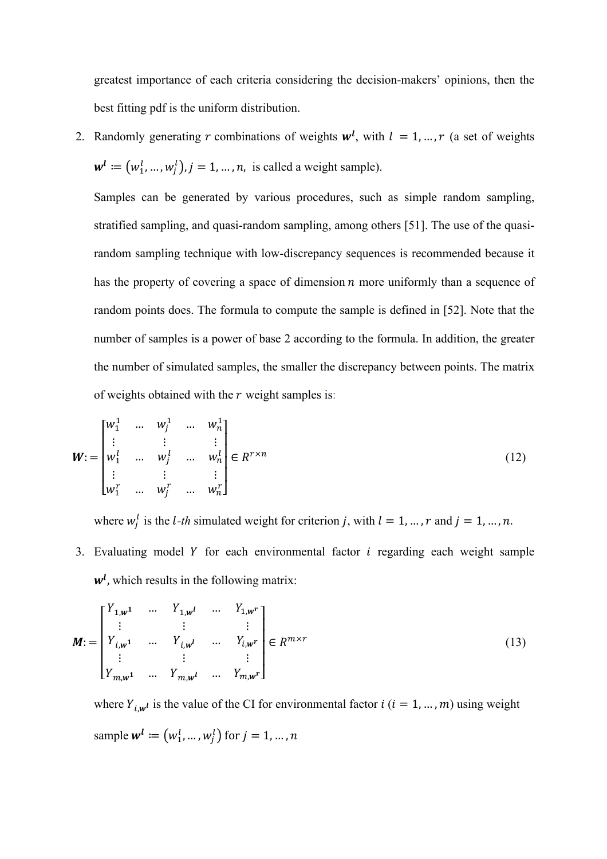greatest importance of each criteria considering the decision-makers' opinions, then the best fitting pdf is the uniform distribution.

2. Randomly generating r combinations of weights  $w^l$ , with  $l = 1, ..., r$  (a set of weights  $w^l := (w_1^l, ..., w_j^l), j = 1, ..., n$ , is called a weight sample).

Samples can be generated by various procedures, such as simple random sampling, stratified sampling, and quasi-random sampling, among others [51]. The use of the quasirandom sampling technique with low-discrepancy sequences is recommended because it has the property of covering a space of dimension  $n$  more uniformly than a sequence of random points does. The formula to compute the sample is defined in [52]. Note that the number of samples is a power of base 2 according to the formula. In addition, the greater the number of simulated samples, the smaller the discrepancy between points. The matrix of weights obtained with the  $r$  weight samples is:

$$
\mathbf{W} := \begin{bmatrix} w_1^1 & \dots & w_j^1 & \dots & w_n^1 \\ \vdots & \vdots & & \vdots \\ w_1^l & \dots & w_j^l & \dots & w_n^l \\ \vdots & & \vdots & & \vdots \\ w_1^r & \dots & w_j^r & \dots & w_n^r \end{bmatrix} \in R^{r \times n}
$$
 (12)

where  $w_j^l$  is the *l*-*th* simulated weight for criterion *j*, with  $l = 1, ..., r$  and  $j = 1, ..., n$ .

3. Evaluating model  $Y$  for each environmental factor  $i$  regarding each weight sample  $w<sup>l</sup>$ , which results in the following matrix:

$$
M := \begin{bmatrix} Y_{1,w} & \cdots & Y_{1,w} & \cdots & Y_{1,w} \\ \vdots & & \vdots & & \vdots \\ Y_{i,w} & \cdots & Y_{i,w} & \cdots & Y_{i,w} \\ \vdots & & \vdots & & \vdots \\ Y_{m,w} & \cdots & Y_{m,w} & \cdots & Y_{m,w} \end{bmatrix} \in R^{m \times r}
$$
 (13)

where  $Y_{i,w}$  is the value of the CI for environmental factor  $i$  ( $i = 1, ..., m$ ) using weight sample  $\mathbf{w}^l \coloneqq \left(w^l_1, \dots, w^l_j\right)$  for  $j = 1, \dots, n$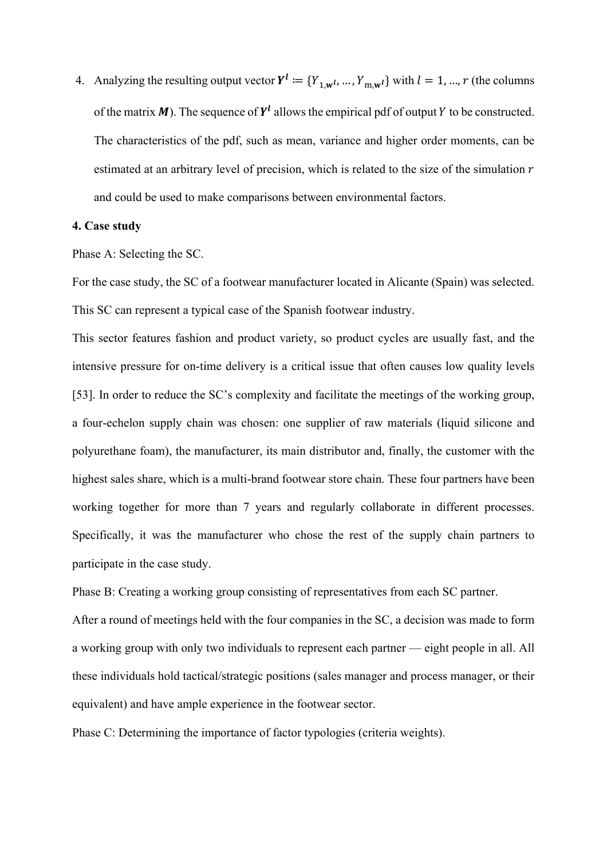4. Analyzing the resulting output vector  $Y^l := \{Y_{1,\mathbf{w}^l}, ..., Y_{m,\mathbf{w}^l}\}\$  with  $l = 1, ..., r$  (the columns of the matrix  $M$ ). The sequence of  $Y<sup>l</sup>$  allows the empirical pdf of output Y to be constructed. The characteristics of the pdf, such as mean, variance and higher order moments, can be estimated at an arbitrary level of precision, which is related to the size of the simulation  $r$ and could be used to make comparisons between environmental factors.

### **4. Case study**

Phase A: Selecting the SC.

For the case study, the SC of a footwear manufacturer located in Alicante (Spain) was selected. This SC can represent a typical case of the Spanish footwear industry.

This sector features fashion and product variety, so product cycles are usually fast, and the intensive pressure for on-time delivery is a critical issue that often causes low quality levels [53]. In order to reduce the SC's complexity and facilitate the meetings of the working group, a four-echelon supply chain was chosen: one supplier of raw materials (liquid silicone and polyurethane foam), the manufacturer, its main distributor and, finally, the customer with the highest sales share, which is a multi-brand footwear store chain. These four partners have been working together for more than 7 years and regularly collaborate in different processes. Specifically, it was the manufacturer who chose the rest of the supply chain partners to participate in the case study.

Phase B: Creating a working group consisting of representatives from each SC partner.

After a round of meetings held with the four companies in the SC, a decision was made to form a working group with only two individuals to represent each partner — eight people in all. All these individuals hold tactical/strategic positions (sales manager and process manager, or their equivalent) and have ample experience in the footwear sector.

Phase C: Determining the importance of factor typologies (criteria weights).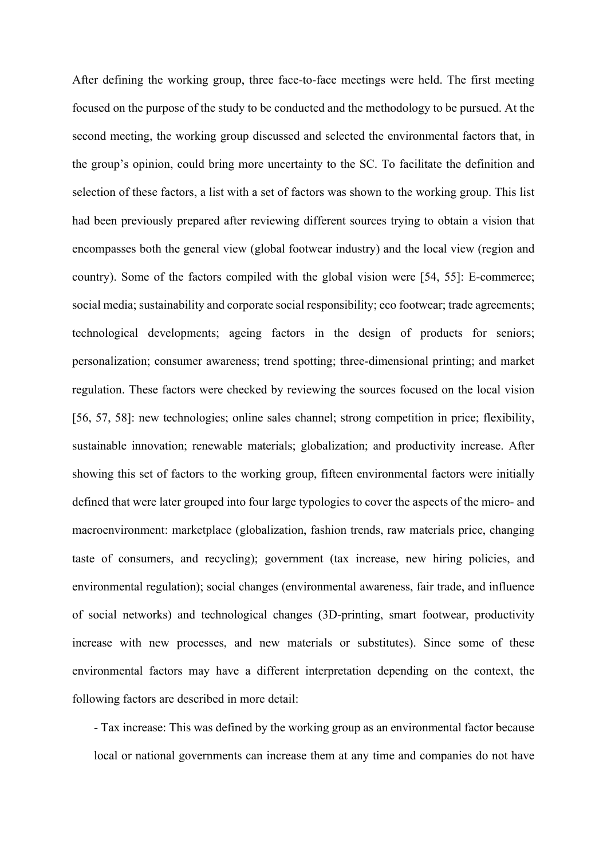After defining the working group, three face-to-face meetings were held. The first meeting focused on the purpose of the study to be conducted and the methodology to be pursued. At the second meeting, the working group discussed and selected the environmental factors that, in the group's opinion, could bring more uncertainty to the SC. To facilitate the definition and selection of these factors, a list with a set of factors was shown to the working group. This list had been previously prepared after reviewing different sources trying to obtain a vision that encompasses both the general view (global footwear industry) and the local view (region and country). Some of the factors compiled with the global vision were [54, 55]: E-commerce; social media; sustainability and corporate social responsibility; eco footwear; trade agreements; technological developments; ageing factors in the design of products for seniors; personalization; consumer awareness; trend spotting; three-dimensional printing; and market regulation. These factors were checked by reviewing the sources focused on the local vision [56, 57, 58]: new technologies; online sales channel; strong competition in price; flexibility, sustainable innovation; renewable materials; globalization; and productivity increase. After showing this set of factors to the working group, fifteen environmental factors were initially defined that were later grouped into four large typologies to cover the aspects of the micro- and macroenvironment: marketplace (globalization, fashion trends, raw materials price, changing taste of consumers, and recycling); government (tax increase, new hiring policies, and environmental regulation); social changes (environmental awareness, fair trade, and influence of social networks) and technological changes (3D-printing, smart footwear, productivity increase with new processes, and new materials or substitutes). Since some of these environmental factors may have a different interpretation depending on the context, the following factors are described in more detail:

- Tax increase: This was defined by the working group as an environmental factor because local or national governments can increase them at any time and companies do not have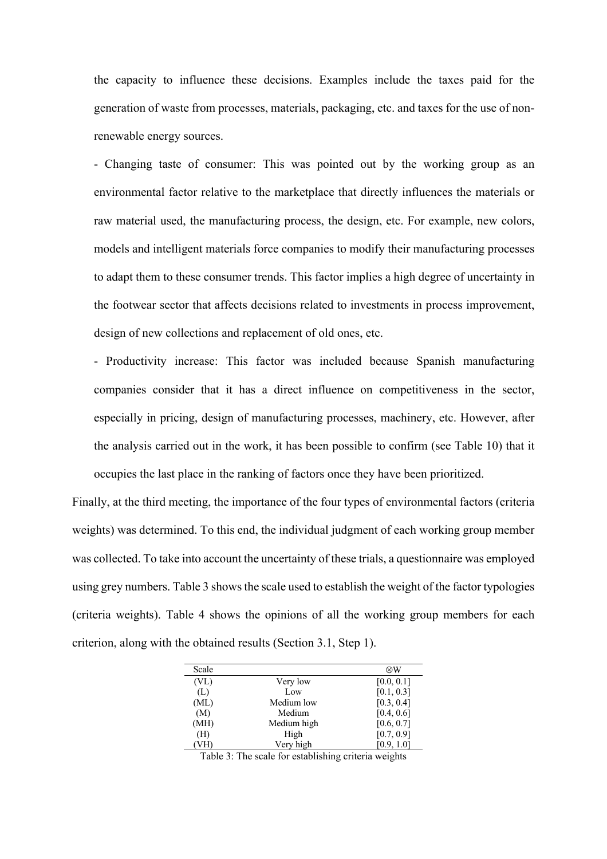the capacity to influence these decisions. Examples include the taxes paid for the generation of waste from processes, materials, packaging, etc. and taxes for the use of nonrenewable energy sources.

- Changing taste of consumer: This was pointed out by the working group as an environmental factor relative to the marketplace that directly influences the materials or raw material used, the manufacturing process, the design, etc. For example, new colors, models and intelligent materials force companies to modify their manufacturing processes to adapt them to these consumer trends. This factor implies a high degree of uncertainty in the footwear sector that affects decisions related to investments in process improvement, design of new collections and replacement of old ones, etc.

- Productivity increase: This factor was included because Spanish manufacturing companies consider that it has a direct influence on competitiveness in the sector, especially in pricing, design of manufacturing processes, machinery, etc. However, after the analysis carried out in the work, it has been possible to confirm (see Table 10) that it occupies the last place in the ranking of factors once they have been prioritized.

Finally, at the third meeting, the importance of the four types of environmental factors (criteria weights) was determined. To this end, the individual judgment of each working group member was collected. To take into account the uncertainty of these trials, a questionnaire was employed using grey numbers. Table 3 shows the scale used to establish the weight of the factor typologies (criteria weights). Table 4 shows the opinions of all the working group members for each criterion, along with the obtained results (Section 3.1, Step 1).

| Scale             |             | $\otimes$ W |
|-------------------|-------------|-------------|
| (V <sub>L</sub> ) | Very low    | [0.0, 0.1]  |
| (L)               | Low         | [0.1, 0.3]  |
| (ML)              | Medium low  | [0.3, 0.4]  |
| (M)               | Medium      | [0.4, 0.6]  |
| (MH)              | Medium high | [0.6, 0.7]  |
| (H)               | High        | [0.7, 0.9]  |
| VH)               | Very high   | [0.9, 1.0]  |

Table 3: The scale for establishing criteria weights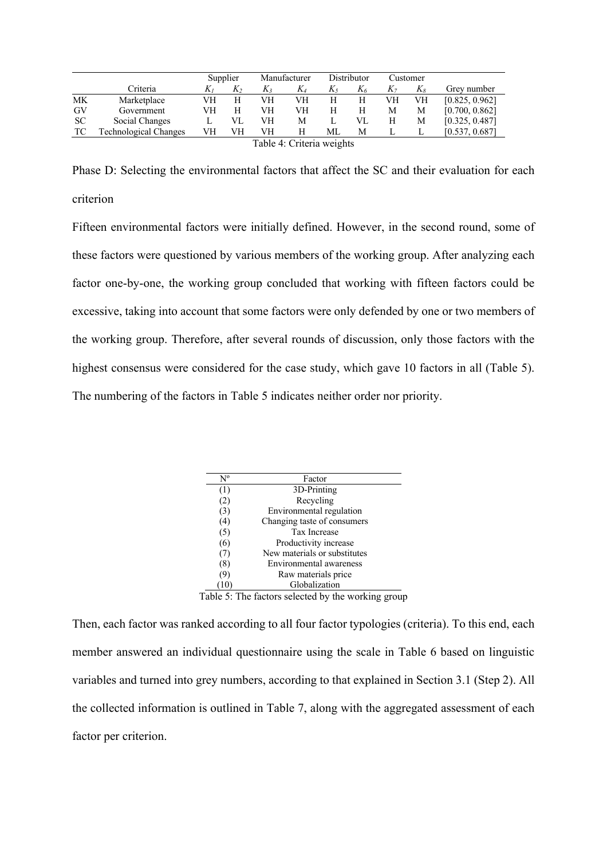|           |                           |    | Supplier |    | Manufacturer |    | Distributor |    | Customer |                |
|-----------|---------------------------|----|----------|----|--------------|----|-------------|----|----------|----------------|
|           | Criteria                  | K1 | $K_2$    | K3 | $K_4$        | K5 | $K_6$       | K7 | Kя       | Grey number    |
| <b>MK</b> | Marketplace               | VH |          | VН | VН           | Н  | Н           | VН | VH       | [0.825, 0.962] |
| GV        | Government                | VH |          | VH | VН           | H  | Н           | M  | М        | [0.700, 0.862] |
| <b>SC</b> | Social Changes            |    | VL       | VH | М            |    | VI.         | H  | М        | [0.325, 0.487] |
| TC        | Technological Changes     | VН | VH       | VH | Н            | МL | М           |    |          | [0.537, 0.687] |
|           | Table 4: Criteria weights |    |          |    |              |    |             |    |          |                |

Table 4: Criteria weights

Phase D: Selecting the environmental factors that affect the SC and their evaluation for each criterion

Fifteen environmental factors were initially defined. However, in the second round, some of these factors were questioned by various members of the working group. After analyzing each factor one-by-one, the working group concluded that working with fifteen factors could be excessive, taking into account that some factors were only defended by one or two members of the working group. Therefore, after several rounds of discussion, only those factors with the highest consensus were considered for the case study, which gave 10 factors in all (Table 5). The numbering of the factors in Table 5 indicates neither order nor priority.

| $N^{\rm o}$ | Factor                       |  |
|-------------|------------------------------|--|
| (1)         | 3D-Printing                  |  |
| (2)         | Recycling                    |  |
| (3)         | Environmental regulation     |  |
| (4)         | Changing taste of consumers  |  |
| (5)         | <b>Tax Increase</b>          |  |
| (6)         | Productivity increase        |  |
| (7)         | New materials or substitutes |  |
| (8)         | Environmental awareness      |  |
| (9)         | Raw materials price          |  |
| ' 10        | Globalization                |  |
| $-1$        | .  .                         |  |

Table 5: The factors selected by the working group

Then, each factor was ranked according to all four factor typologies (criteria). To this end, each member answered an individual questionnaire using the scale in Table 6 based on linguistic variables and turned into grey numbers, according to that explained in Section 3.1 (Step 2). All the collected information is outlined in Table 7, along with the aggregated assessment of each factor per criterion.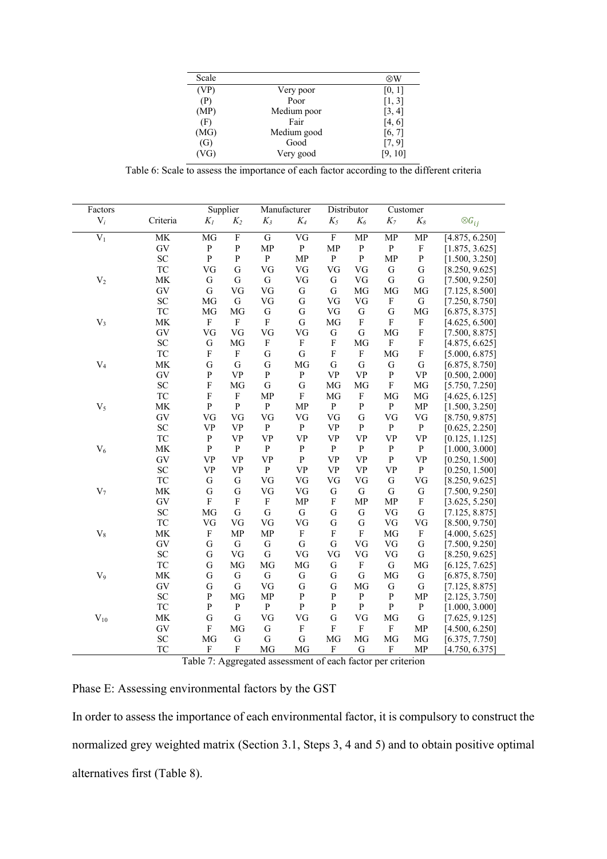| Scale |             | ⊗W      |
|-------|-------------|---------|
| (VP)  | Very poor   | [0, 1]  |
| (P)   | Poor        | [1, 3]  |
| (MP)  | Medium poor | [3, 4]  |
| (F)   | Fair        | [4, 6]  |
| (MG)  | Medium good | [6, 7]  |
| (G)   | Good        | [7, 9]  |
| (VG)  | Very good   | [9, 10] |

Table 6: Scale to assess the importance of each factor according to the different criteria

| Factors      |            |                           | Supplier                  |                           | Manufacturer              |                           | Distributor                                      |                           | Customer                  |                  |
|--------------|------------|---------------------------|---------------------------|---------------------------|---------------------------|---------------------------|--------------------------------------------------|---------------------------|---------------------------|------------------|
| $V_i$        | Criteria   | $K_I$                     | $K_2$                     | $K_3$                     | $K_4$                     | $K_5$                     | $K_6$                                            | $K_7$                     | $K_8$                     | $\otimes G_{ij}$ |
|              |            |                           |                           |                           |                           |                           |                                                  |                           |                           |                  |
| $V_1$        | MK         | MG                        | $\overline{\mathrm{F}}$   | $\mathbf G$               | VG                        | $\overline{F}$            | MP                                               | MP                        | MP                        | [4.875, 6.250]   |
|              | GV         | $\, {\bf P}$              | ${\bf P}$                 | <b>MP</b>                 | $\, {\bf P}$              | <b>MP</b>                 | ${\bf P}$                                        | ${\bf P}$                 | $\boldsymbol{\mathrm{F}}$ | [1.875, 3.625]   |
|              | <b>SC</b>  | $\, {\bf P}$              | ${\bf P}$                 | ${\bf P}$                 | <b>MP</b>                 | ${\bf P}$                 | ${\bf P}$                                        | <b>MP</b>                 | ${\bf P}$                 | [1.500, 3.250]   |
|              | <b>TC</b>  | VG                        | G                         | VG                        | VG                        | VG                        | VG                                               | ${\bf G}$                 | G                         | [8.250, 9.625]   |
| $\rm V_2$    | MK         | ${\bf G}$                 | G                         | ${\bf G}$                 | VG                        | $\mathbf G$               | VG                                               | ${\bf G}$                 | ${\bf G}$                 | [7.500, 9.250]   |
|              | GV         | ${\bf G}$                 | VG                        | VG                        | ${\bf G}$                 | $\mathbf G$               | MG                                               | MG                        | MG                        | [7.125, 8.500]   |
|              | SC         | $\rm MG$                  | G                         | VG                        | ${\bf G}$                 | VG                        | VG                                               | $\boldsymbol{\mathrm{F}}$ | $\mathsf G$               | [7.250, 8.750]   |
|              | TC         | $\rm MG$                  | MG                        | G                         | G                         | ${\rm VG}$                | G                                                | G                         | MG                        | [6.875, 8.375]   |
| $\rm V_3$    | MK         | $\mathbf F$               | $\boldsymbol{\mathrm{F}}$ | ${\bf F}$                 | ${\bf G}$                 | MG                        | $\boldsymbol{\mathrm{F}}$                        | $\mathbf{F}$              | $\boldsymbol{\mathrm{F}}$ | [4.625, 6.500]   |
|              | ${\rm GV}$ | ${\rm VG}$                | VG                        | VG                        | VG                        | G                         | ${\bf G}$                                        | MG                        | $\boldsymbol{\mathrm{F}}$ | [7.500, 8.875]   |
|              | SC         | G                         | MG                        | $\boldsymbol{\mathrm{F}}$ | $\mathbf F$               | $\boldsymbol{\mathrm{F}}$ | MG                                               | $\boldsymbol{\mathrm{F}}$ | $\boldsymbol{\mathrm{F}}$ | [4.875, 6.625]   |
|              | TC         | $\mathbf F$               | $\mathbf{F}$              | G                         | G                         | F                         | $\boldsymbol{\mathrm{F}}$                        | MG                        | F                         | [5.000, 6.875]   |
| $V_4$        | <b>MK</b>  | $\mathbf G$               | G                         | G                         | MG                        | $\mathbf G$               | G                                                | ${\bf G}$                 | ${\bf G}$                 | [6.875, 8.750]   |
|              | GV         | ${\bf P}$                 | <b>VP</b>                 | ${\bf P}$                 | ${\bf P}$                 | <b>VP</b>                 | <b>VP</b>                                        | ${\bf P}$                 | <b>VP</b>                 | [0.500, 2.000]   |
|              | <b>SC</b>  | $\mathbf F$               | MG                        | $\mathbf G$               | $\mathbf G$               | MG                        | MG                                               | $\mathbf F$               | MG                        | [5.750, 7.250]   |
|              | TC         | $\mathbf F$               | $\boldsymbol{\mathrm{F}}$ | MP                        | $\mathbf F$               | MG                        | $\boldsymbol{\mathrm{F}}$                        | MG                        | MG                        | [4.625, 6.125]   |
| $V_5$        | MK         | $\mathbf P$               | $\, {\bf P}$              | ${\bf P}$                 | <b>MP</b>                 | $\, {\bf p}$              | ${\bf P}$                                        | ${\bf P}$                 | MP                        | [1.500, 3.250]   |
|              | GV         | VG                        | VG                        | VG                        | VG                        | VG                        | G                                                | VG                        | VG                        | [8.750, 9.875]   |
|              | <b>SC</b>  | <b>VP</b>                 | <b>VP</b>                 | ${\bf P}$                 | $\mathbf{P}$              | <b>VP</b>                 | $\mathbf{P}$                                     | $\mathbf{P}$              | ${\bf P}$                 | [0.625, 2.250]   |
|              | TC         | $\, {\bf P}$              | <b>VP</b>                 | <b>VP</b>                 | <b>VP</b>                 | <b>VP</b>                 | <b>VP</b>                                        | <b>VP</b>                 | <b>VP</b>                 | [0.125, 1.125]   |
| $V_6$        | MK         | ${\bf P}$                 | ${\bf P}$                 | ${\bf P}$                 | ${\bf P}$                 | $\, {\bf p}$              | ${\bf P}$                                        | ${\bf P}$                 | ${\bf P}$                 | [1.000, 3.000]   |
|              | GV         | <b>VP</b>                 | <b>VP</b>                 | <b>VP</b>                 | ${\bf P}$                 | <b>VP</b>                 | $\ensuremath{\mathbf{V}}\ensuremath{\mathbf{P}}$ | $\mathbf{P}$              | <b>VP</b>                 | [0.250, 1.500]   |
|              | SC         | <b>VP</b>                 | <b>VP</b>                 | ${\bf P}$                 | <b>VP</b>                 | <b>VP</b>                 | <b>VP</b>                                        | <b>VP</b>                 | ${\bf P}$                 | [0.250, 1.500]   |
|              | TC         | ${\bf G}$                 | G                         | VG                        | VG                        | VG                        | VG                                               | ${\bf G}$                 | VG                        | [8.250, 9.625]   |
| $\rm V_7$    | MK         | G                         | G                         | VG                        | VG                        | G                         | ${\bf G}$                                        | ${\bf G}$                 | G                         | [7.500, 9.250]   |
|              | GV         | $\rm F$                   | $\mathbf{F}$              | $\boldsymbol{\mathrm{F}}$ | <b>MP</b>                 | $\mathbf{F}$              | MP                                               | MP                        | $\boldsymbol{\mathrm{F}}$ | [3.625, 5.250]   |
|              | <b>SC</b>  | MG                        | G                         | $\mathsf G$               | ${\bf G}$                 | G                         | ${\bf G}$                                        | VG                        | ${\bf G}$                 | [7.125, 8.875]   |
|              | TC         | VG                        | VG                        | VG                        | VG                        | $\mathbf G$               | G                                                | VG                        | VG                        | [8.500, 9.750]   |
| $\rm V_8$    | MK         | $\mathbf F$               | <b>MP</b>                 | MP                        | $\mathbf F$               | $\rm F$                   | $\mathbf F$                                      | MG                        | $\boldsymbol{\mathrm{F}}$ | [4.000, 5.625]   |
|              | GV         | ${\bf G}$                 | ${\bf G}$                 | ${\bf G}$                 | ${\bf G}$                 | ${\bf G}$                 | VG                                               | VG                        | ${\bf G}$                 | [7.500, 9.250]   |
|              | <b>SC</b>  | G                         | VG                        | ${\bf G}$                 | VG                        | VG                        | VG                                               | VG                        | ${\bf G}$                 | [8.250, 9.625]   |
|              | <b>TC</b>  | G                         | MG                        | MG                        | MG                        | ${\bf G}$                 | ${\bf F}$                                        | ${\bf G}$                 | MG                        | [6.125, 7.625]   |
| $V_9$        | MK         | G                         | ${\bf G}$                 | ${\bf G}$                 | G                         | G                         | ${\bf G}$                                        | MG                        | G                         | [6.875, 8.750]   |
|              | GV         | ${\bf G}$                 | G                         | VG                        | G                         | G                         | MG                                               | G                         | G                         | [7.125, 8.875]   |
|              | SC         | ${\bf P}$                 | MG                        | ${\sf MP}$                | ${\bf P}$                 | ${\bf P}$                 | ${\bf P}$                                        | ${\bf P}$                 | MP                        | [2.125, 3.750]   |
|              | TC         | ${\bf P}$                 | ${\bf P}$                 | ${\bf P}$                 | ${\bf P}$                 | ${\bf P}$                 | ${\bf P}$                                        | ${\bf P}$                 | ${\bf P}$                 | [1.000, 3.000]   |
|              | MK         |                           |                           |                           |                           |                           |                                                  |                           |                           |                  |
| $\rm V_{10}$ |            | ${\bf G}$                 | G                         | VG                        | VG                        | ${\bf G}$                 | VG                                               | MG                        | ${\bf G}$                 | [7.625, 9.125]   |
|              | ${\rm GV}$ | $\mathbf F$               | MG                        | ${\bf G}$                 | $\boldsymbol{\mathrm{F}}$ | $\mathbf F$               | $\boldsymbol{\mathrm{F}}$                        | $\boldsymbol{\mathrm{F}}$ | <b>MP</b>                 | [4.500, 6.250]   |
|              | SC         | $\rm MG$                  | ${\bf G}$                 | $\mathsf G$               | ${\bf G}$                 | MG                        | MG                                               | MG                        | MG                        | [6.375, 7.750]   |
|              | TC         | $\boldsymbol{\mathrm{F}}$ | $\mathbf F$               | MG                        | MG                        | $\boldsymbol{\mathrm{F}}$ | G                                                | $\boldsymbol{\mathrm{F}}$ | MP                        | [4.750, 6.375]   |

Table 7: Aggregated assessment of each factor per criterion

Phase E: Assessing environmental factors by the GST

In order to assess the importance of each environmental factor, it is compulsory to construct the normalized grey weighted matrix (Section 3.1, Steps 3, 4 and 5) and to obtain positive optimal alternatives first (Table 8).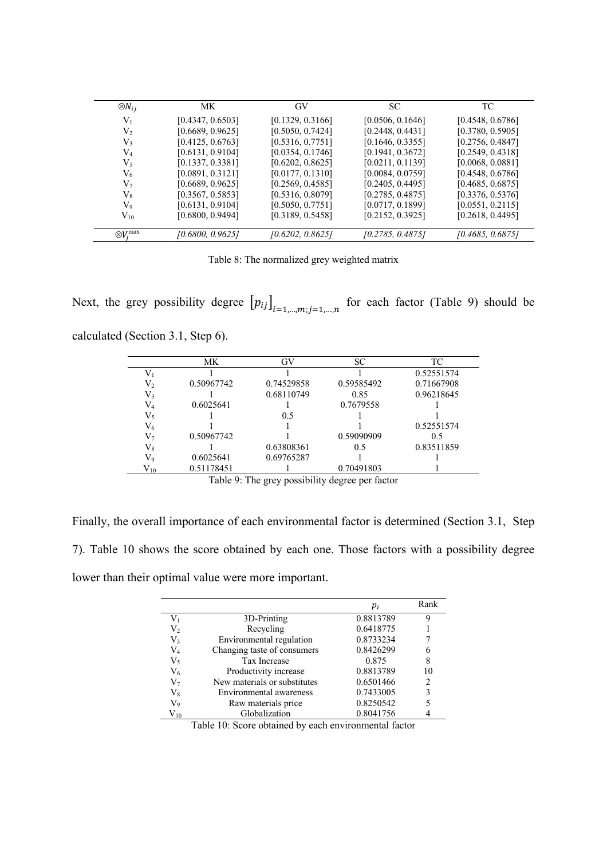| $\otimes N_{ij}$     | MK.              | GV               | SC               | TC               |
|----------------------|------------------|------------------|------------------|------------------|
| $V_1$                | [0.4347, 0.6503] | [0.1329, 0.3166] | [0.0506, 0.1646] | [0.4548, 0.6786] |
| $\rm V_2$            | [0.6689, 0.9625] | [0.5050, 0.7424] | [0.2448, 0.4431] | [0.3780, 0.5905] |
| $V_3$                | [0.4125, 0.6763] | [0.5316, 0.7751] | [0.1646, 0.3355] | [0.2756, 0.4847] |
| $\rm V_4$            | [0.6131, 0.9104] | [0.0354, 0.1746] | [0.1941, 0.3672] | [0.2549, 0.4318] |
| $V_5$                | [0.1337, 0.3381] | [0.6202, 0.8625] | [0.0211, 0.1139] | [0.0068, 0.0881] |
| $\rm V_6$            | [0.0891, 0.3121] | [0.0177, 0.1310] | [0.0084, 0.0759] | [0.4548, 0.6786] |
| V7                   | [0.6689, 0.9625] | [0.2569, 0.4585] | [0.2405, 0.4495] | [0.4685, 0.6875] |
| $V_8$                | [0.3567, 0.5853] | [0.5316, 0.8079] | [0.2785, 0.4875] | [0.3376, 0.5376] |
| V9                   | [0.6131, 0.9104] | [0.5050, 0.7751] | [0.0717, 0.1899] | [0.0551, 0.2115] |
| $\rm V_{10}$         | [0.6800, 0.9494] | [0.3189, 0.5458] | [0.2152, 0.3925] | [0.2618, 0.4495] |
| $\otimes V_i^{\max}$ | [0.6800, 0.9625] | [0.6202, 0.8625] | [0.2785, 0.4875] | [0.4685, 0.6875] |

Table 8: The normalized grey weighted matrix

Next, the grey possibility degree  $[p_{ij}]_{i=1,\dots,m; j=1,\dots,n}$  for each factor (Table 9) should be calculated (Section 3.1, Step 6).

|              | МK         | GV         | <b>SC</b>  | TC         |
|--------------|------------|------------|------------|------------|
| $\rm V_1$    |            |            |            | 0.52551574 |
| V,           | 0.50967742 | 0.74529858 | 0.59585492 | 0.71667908 |
| V3           |            | 0.68110749 | 0.85       | 0.96218645 |
| $\rm V_4$    | 0.6025641  |            | 0.7679558  |            |
| V5           |            | 0.5        |            |            |
| V6           |            |            |            | 0.52551574 |
| V7           | 0.50967742 |            | 0.59090909 | 0.5        |
| $\rm V_{8}$  |            | 0.63808361 | 0.5        | 0.83511859 |
| V9           | 0.6025641  | 0.69765287 |            |            |
| $\rm V_{10}$ | 0.51178451 |            | 0.70491803 |            |

Table 9: The grey possibility degree per factor

Finally, the overall importance of each environmental factor is determined (Section 3.1, Step 7). Table 10 shows the score obtained by each one. Those factors with a possibility degree lower than their optimal value were more important.

|              |                              | $p_i$     | Rank |
|--------------|------------------------------|-----------|------|
| $\rm V_1$    | 3D-Printing                  | 0.8813789 | 9    |
| V,           | Recycling                    | 0.6418775 |      |
| V3           | Environmental regulation     | 0.8733234 |      |
| $\rm V_4$    | Changing taste of consumers  | 0.8426299 |      |
| $\rm V_5$    | Tax Increase                 | 0.875     | 8    |
| ${\rm V}_6$  | Productivity increase        | 0.8813789 | 10   |
| V7           | New materials or substitutes | 0.6501466 | 2    |
| $\rm V_{8}$  | Environmental awareness      | 0.7433005 | 3    |
| V9           | Raw materials price          | 0.8250542 |      |
| $\rm V_{10}$ | Globalization                | 0.8041756 |      |

Table 10: Score obtained by each environmental factor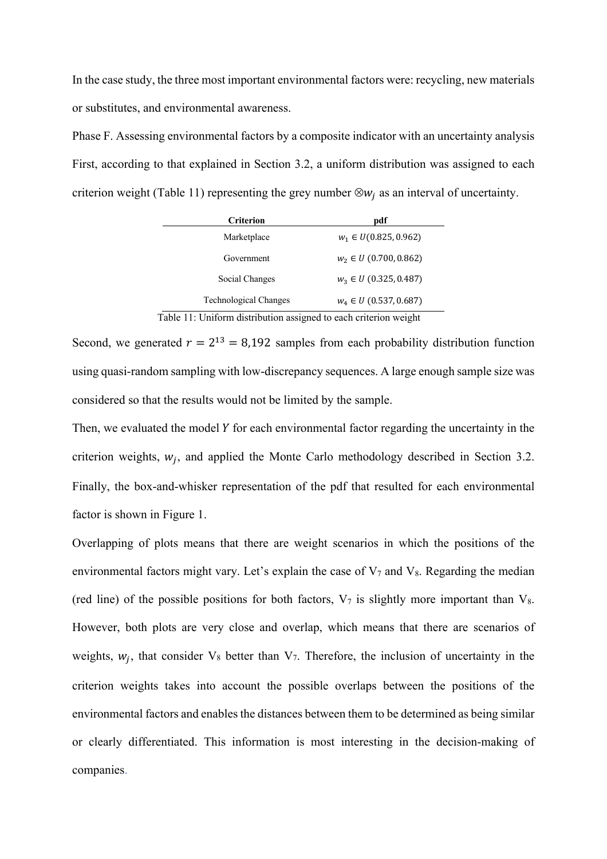In the case study, the three most important environmental factors were: recycling, new materials or substitutes, and environmental awareness.

Phase F. Assessing environmental factors by a composite indicator with an uncertainty analysis First, according to that explained in Section 3.2, a uniform distribution was assigned to each criterion weight (Table 11) representing the grey number  $\otimes w_i$  as an interval of uncertainty.

| <b>Criterion</b>             | pdf                        |
|------------------------------|----------------------------|
| Marketplace                  | $w_1 \in U(0.825, 0.962)$  |
| Government                   | $w_2 \in U$ (0.700, 0.862) |
| Social Changes               | $w_3 \in U$ (0.325, 0.487) |
| <b>Technological Changes</b> | $W_4 \in U$ (0.537, 0.687) |

Table 11: Uniform distribution assigned to each criterion weight

Second, we generated  $r = 2^{13} = 8,192$  samples from each probability distribution function using quasi-random sampling with low-discrepancy sequences. A large enough sample size was considered so that the results would not be limited by the sample.

Then, we evaluated the model  $Y$  for each environmental factor regarding the uncertainty in the criterion weights,  $w_i$ , and applied the Monte Carlo methodology described in Section 3.2. Finally, the box-and-whisker representation of the pdf that resulted for each environmental factor is shown in Figure 1.

Overlapping of plots means that there are weight scenarios in which the positions of the environmental factors might vary. Let's explain the case of  $V_7$  and  $V_8$ . Regarding the median (red line) of the possible positions for both factors,  $V_7$  is slightly more important than  $V_8$ . However, both plots are very close and overlap, which means that there are scenarios of weights,  $w_i$ , that consider  $V_8$  better than  $V_7$ . Therefore, the inclusion of uncertainty in the criterion weights takes into account the possible overlaps between the positions of the environmental factors and enables the distances between them to be determined as being similar or clearly differentiated. This information is most interesting in the decision-making of companies.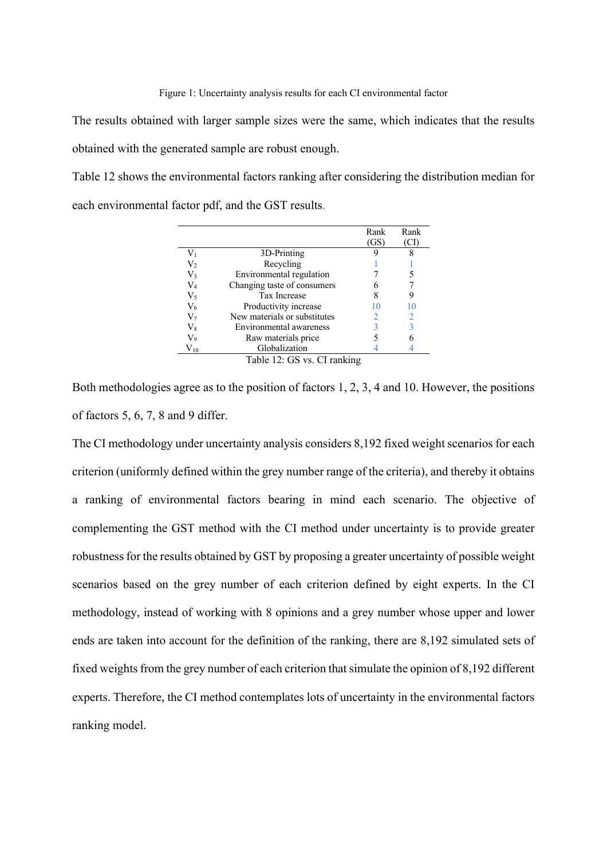The results obtained with larger sample sizes were the same, which indicates that the results obtained with the generated sample are robust enough.

Table 12 shows the environmental factors ranking after considering the distribution median for each environmental factor pdf, and the GST results.

|              |                              | Rank | Rank |
|--------------|------------------------------|------|------|
|              |                              | (GS) | (CI) |
| $\rm V_1$    | 3D-Printing                  |      | 8    |
| $\rm V_2$    | Recycling                    |      |      |
| ${\rm V}_3$  | Environmental regulation     |      |      |
| V4           | Changing taste of consumers  |      |      |
| $\rm V_5$    | Tax Increase                 |      | 9    |
| $\rm V_6$    | Productivity increase        |      |      |
| $\rm V_7$    | New materials or substitutes |      |      |
| $\rm V_{8}$  | Environmental awareness      |      | 3    |
| V9           | Raw materials price          |      |      |
| $\rm V_{10}$ | Globalization                |      |      |
|              | Table 12: GS vs. CI ranking  |      |      |

Both methodologies agree as to the position of factors 1, 2, 3, 4 and 10. However, the positions of factors 5, 6, 7, 8 and 9 differ.

The CI methodology under uncertainty analysis considers 8,192 fixed weight scenarios for each criterion (uniformly defined within the grey number range of the criteria), and thereby it obtains a ranking of environmental factors bearing in mind each scenario. The objective of complementing the GST method with the CI method under uncertainty is to provide greater robustness for the results obtained by GST by proposing a greater uncertainty of possible weight scenarios based on the grey number of each criterion defined by eight experts. In the CI methodology, instead of working with 8 opinions and a grey number whose upper and lower ends are taken into account for the definition of the ranking, there are 8,192 simulated sets of fixed weights from the grey number of each criterion that simulate the opinion of 8,192 different experts. Therefore, the CI method contemplates lots of uncertainty in the environmental factors ranking model.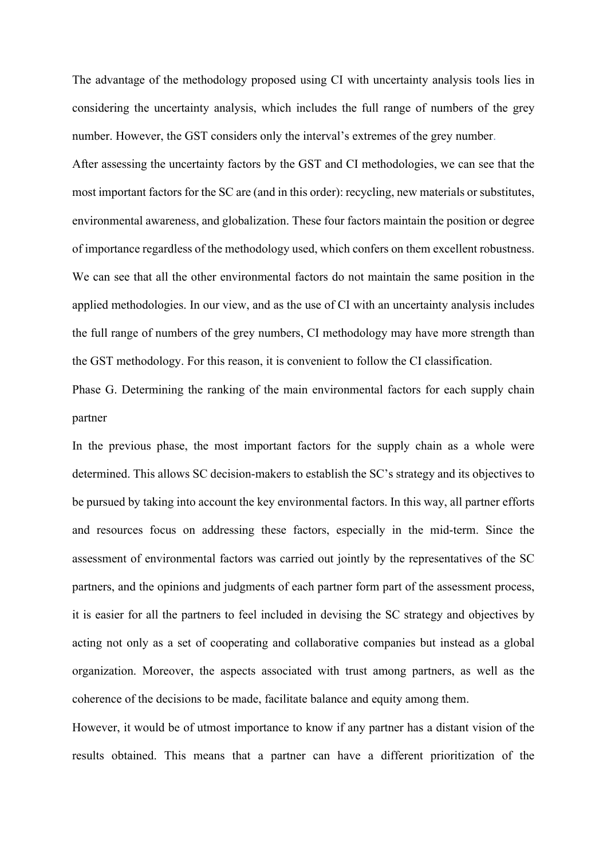The advantage of the methodology proposed using CI with uncertainty analysis tools lies in considering the uncertainty analysis, which includes the full range of numbers of the grey number. However, the GST considers only the interval's extremes of the grey number.

After assessing the uncertainty factors by the GST and CI methodologies, we can see that the most important factors for the SC are (and in this order): recycling, new materials or substitutes, environmental awareness, and globalization. These four factors maintain the position or degree of importance regardless of the methodology used, which confers on them excellent robustness. We can see that all the other environmental factors do not maintain the same position in the applied methodologies. In our view, and as the use of CI with an uncertainty analysis includes the full range of numbers of the grey numbers, CI methodology may have more strength than the GST methodology. For this reason, it is convenient to follow the CI classification.

Phase G. Determining the ranking of the main environmental factors for each supply chain partner

In the previous phase, the most important factors for the supply chain as a whole were determined. This allows SC decision-makers to establish the SC's strategy and its objectives to be pursued by taking into account the key environmental factors. In this way, all partner efforts and resources focus on addressing these factors, especially in the mid-term. Since the assessment of environmental factors was carried out jointly by the representatives of the SC partners, and the opinions and judgments of each partner form part of the assessment process, it is easier for all the partners to feel included in devising the SC strategy and objectives by acting not only as a set of cooperating and collaborative companies but instead as a global organization. Moreover, the aspects associated with trust among partners, as well as the coherence of the decisions to be made, facilitate balance and equity among them.

However, it would be of utmost importance to know if any partner has a distant vision of the results obtained. This means that a partner can have a different prioritization of the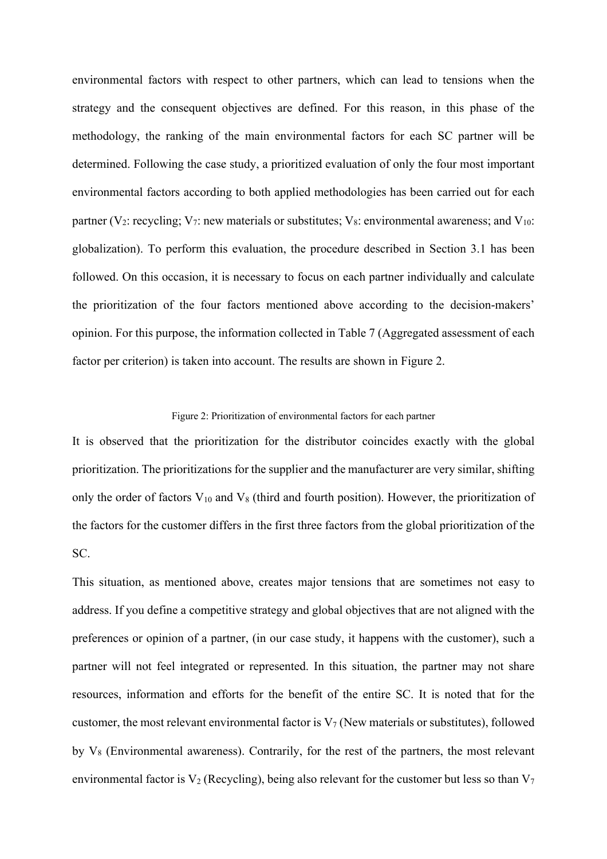environmental factors with respect to other partners, which can lead to tensions when the strategy and the consequent objectives are defined. For this reason, in this phase of the methodology, the ranking of the main environmental factors for each SC partner will be determined. Following the case study, a prioritized evaluation of only the four most important environmental factors according to both applied methodologies has been carried out for each partner (V<sub>2</sub>: recycling; V<sub>7</sub>: new materials or substitutes; V<sub>8</sub>: environmental awareness; and V<sub>10</sub>: globalization). To perform this evaluation, the procedure described in Section 3.1 has been followed. On this occasion, it is necessary to focus on each partner individually and calculate the prioritization of the four factors mentioned above according to the decision-makers' opinion. For this purpose, the information collected in Table 7 (Aggregated assessment of each factor per criterion) is taken into account. The results are shown in Figure 2.

### Figure 2: Prioritization of environmental factors for each partner

It is observed that the prioritization for the distributor coincides exactly with the global prioritization. The prioritizations for the supplier and the manufacturer are very similar, shifting only the order of factors  $V_{10}$  and  $V_8$  (third and fourth position). However, the prioritization of the factors for the customer differs in the first three factors from the global prioritization of the SC.

This situation, as mentioned above, creates major tensions that are sometimes not easy to address. If you define a competitive strategy and global objectives that are not aligned with the preferences or opinion of a partner, (in our case study, it happens with the customer), such a partner will not feel integrated or represented. In this situation, the partner may not share resources, information and efforts for the benefit of the entire SC. It is noted that for the customer, the most relevant environmental factor is  $V_7$  (New materials or substitutes), followed by V8 (Environmental awareness). Contrarily, for the rest of the partners, the most relevant environmental factor is  $V_2$  (Recycling), being also relevant for the customer but less so than  $V_7$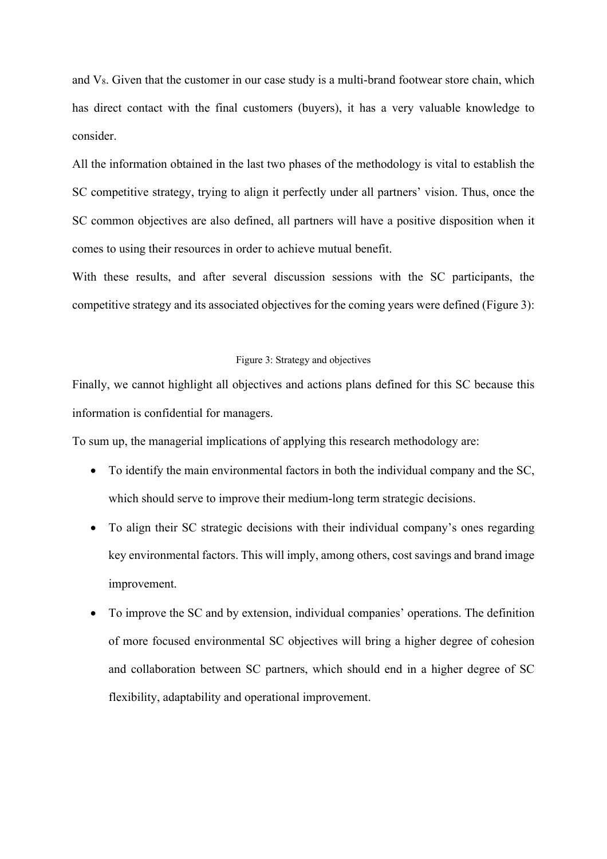and  $V_8$ . Given that the customer in our case study is a multi-brand footwear store chain, which has direct contact with the final customers (buyers), it has a very valuable knowledge to consider.

All the information obtained in the last two phases of the methodology is vital to establish the SC competitive strategy, trying to align it perfectly under all partners' vision. Thus, once the SC common objectives are also defined, all partners will have a positive disposition when it comes to using their resources in order to achieve mutual benefit.

With these results, and after several discussion sessions with the SC participants, the competitive strategy and its associated objectives for the coming years were defined (Figure 3):

### Figure 3: Strategy and objectives

Finally, we cannot highlight all objectives and actions plans defined for this SC because this information is confidential for managers.

To sum up, the managerial implications of applying this research methodology are:

- To identify the main environmental factors in both the individual company and the SC, which should serve to improve their medium-long term strategic decisions.
- To align their SC strategic decisions with their individual company's ones regarding key environmental factors. This will imply, among others, cost savings and brand image improvement.
- To improve the SC and by extension, individual companies' operations. The definition of more focused environmental SC objectives will bring a higher degree of cohesion and collaboration between SC partners, which should end in a higher degree of SC flexibility, adaptability and operational improvement.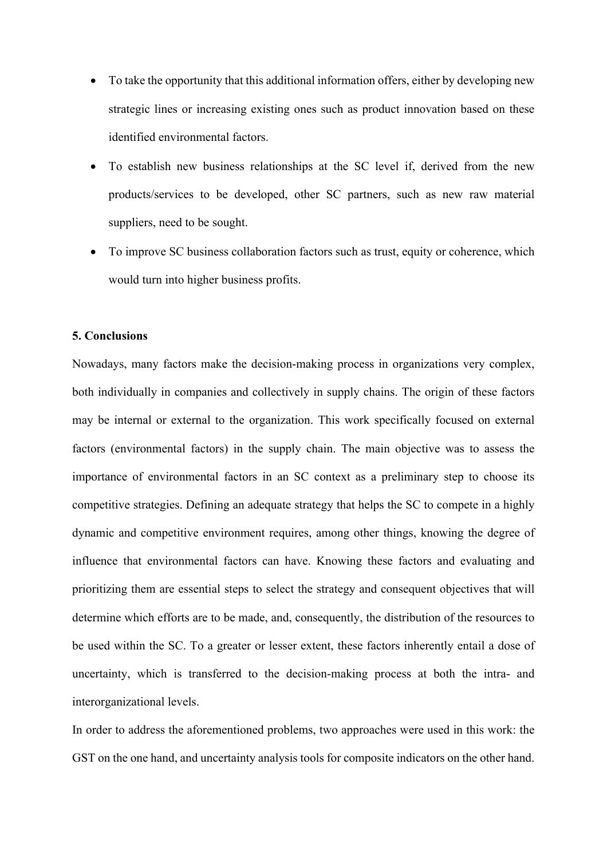- To take the opportunity that this additional information offers, either by developing new strategic lines or increasing existing ones such as product innovation based on these identified environmental factors.
- To establish new business relationships at the SC level if, derived from the new products/services to be developed, other SC partners, such as new raw material suppliers, need to be sought.
- To improve SC business collaboration factors such as trust, equity or coherence, which would turn into higher business profits.

### **5. Conclusions**

Nowadays, many factors make the decision-making process in organizations very complex, both individually in companies and collectively in supply chains. The origin of these factors may be internal or external to the organization. This work specifically focused on external factors (environmental factors) in the supply chain. The main objective was to assess the importance of environmental factors in an SC context as a preliminary step to choose its competitive strategies. Defining an adequate strategy that helps the SC to compete in a highly dynamic and competitive environment requires, among other things, knowing the degree of influence that environmental factors can have. Knowing these factors and evaluating and prioritizing them are essential steps to select the strategy and consequent objectives that will determine which efforts are to be made, and, consequently, the distribution of the resources to be used within the SC. To a greater or lesser extent, these factors inherently entail a dose of uncertainty, which is transferred to the decision-making process at both the intra- and interorganizational levels.

In order to address the aforementioned problems, two approaches were used in this work: the GST on the one hand, and uncertainty analysis tools for composite indicators on the other hand.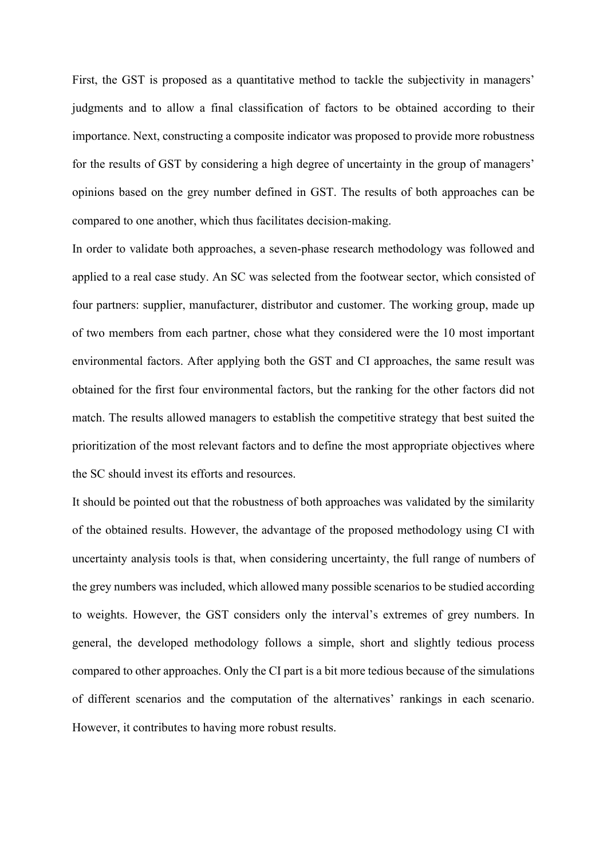First, the GST is proposed as a quantitative method to tackle the subjectivity in managers' judgments and to allow a final classification of factors to be obtained according to their importance. Next, constructing a composite indicator was proposed to provide more robustness for the results of GST by considering a high degree of uncertainty in the group of managers' opinions based on the grey number defined in GST. The results of both approaches can be compared to one another, which thus facilitates decision-making.

In order to validate both approaches, a seven-phase research methodology was followed and applied to a real case study. An SC was selected from the footwear sector, which consisted of four partners: supplier, manufacturer, distributor and customer. The working group, made up of two members from each partner, chose what they considered were the 10 most important environmental factors. After applying both the GST and CI approaches, the same result was obtained for the first four environmental factors, but the ranking for the other factors did not match. The results allowed managers to establish the competitive strategy that best suited the prioritization of the most relevant factors and to define the most appropriate objectives where the SC should invest its efforts and resources.

It should be pointed out that the robustness of both approaches was validated by the similarity of the obtained results. However, the advantage of the proposed methodology using CI with uncertainty analysis tools is that, when considering uncertainty, the full range of numbers of the grey numbers was included, which allowed many possible scenarios to be studied according to weights. However, the GST considers only the interval's extremes of grey numbers. In general, the developed methodology follows a simple, short and slightly tedious process compared to other approaches. Only the CI part is a bit more tedious because of the simulations of different scenarios and the computation of the alternatives' rankings in each scenario. However, it contributes to having more robust results.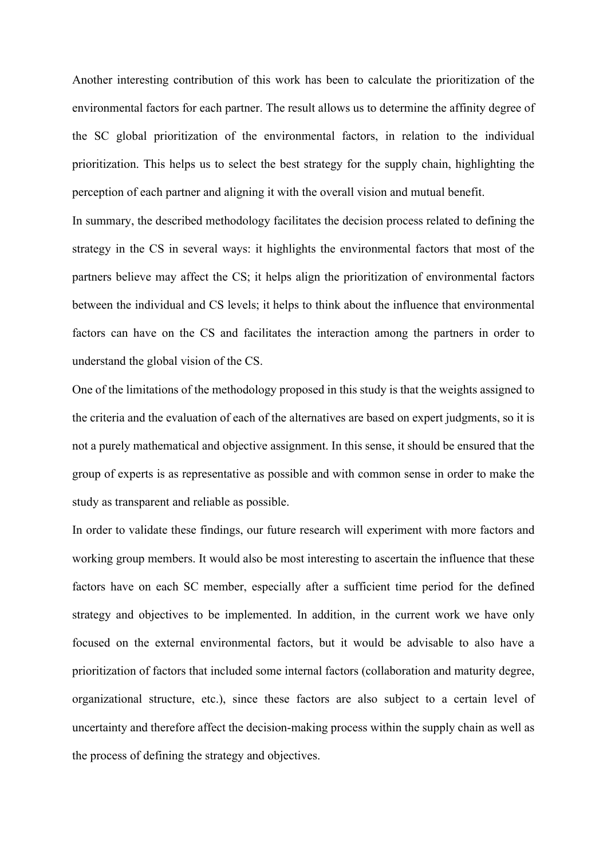Another interesting contribution of this work has been to calculate the prioritization of the environmental factors for each partner. The result allows us to determine the affinity degree of the SC global prioritization of the environmental factors, in relation to the individual prioritization. This helps us to select the best strategy for the supply chain, highlighting the perception of each partner and aligning it with the overall vision and mutual benefit.

In summary, the described methodology facilitates the decision process related to defining the strategy in the CS in several ways: it highlights the environmental factors that most of the partners believe may affect the CS; it helps align the prioritization of environmental factors between the individual and CS levels; it helps to think about the influence that environmental factors can have on the CS and facilitates the interaction among the partners in order to understand the global vision of the CS.

One of the limitations of the methodology proposed in this study is that the weights assigned to the criteria and the evaluation of each of the alternatives are based on expert judgments, so it is not a purely mathematical and objective assignment. In this sense, it should be ensured that the group of experts is as representative as possible and with common sense in order to make the study as transparent and reliable as possible.

In order to validate these findings, our future research will experiment with more factors and working group members. It would also be most interesting to ascertain the influence that these factors have on each SC member, especially after a sufficient time period for the defined strategy and objectives to be implemented. In addition, in the current work we have only focused on the external environmental factors, but it would be advisable to also have a prioritization of factors that included some internal factors (collaboration and maturity degree, organizational structure, etc.), since these factors are also subject to a certain level of uncertainty and therefore affect the decision-making process within the supply chain as well as the process of defining the strategy and objectives.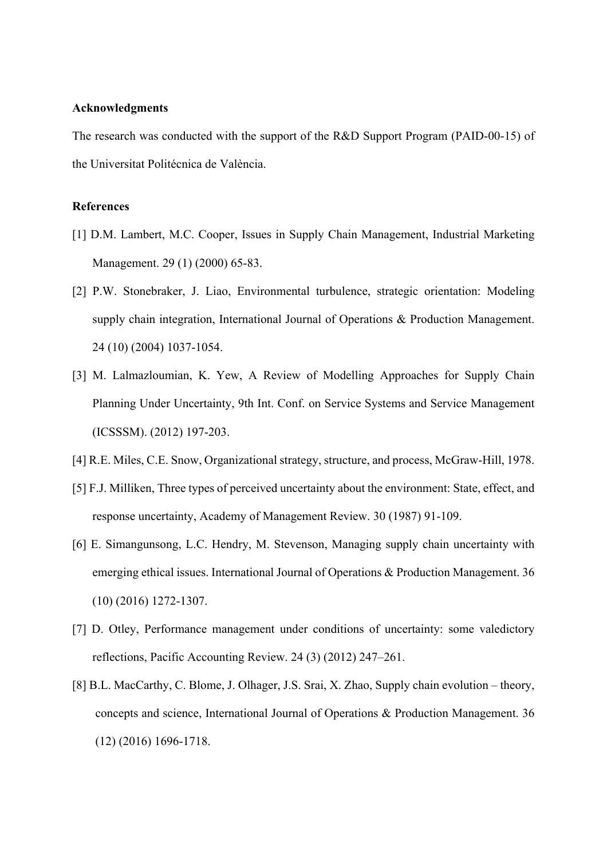### **Acknowledgments**

The research was conducted with the support of the R&D Support Program (PAID-00-15) of the Universitat Politécnica de València.

# **References**

- [1] D.M. Lambert, M.C. Cooper, Issues in Supply Chain Management, Industrial Marketing Management. 29 (1) (2000) 65-83.
- [2] P.W. Stonebraker, J. Liao, Environmental turbulence, strategic orientation: Modeling supply chain integration, International Journal of Operations & Production Management. 24 (10) (2004) 1037-1054.
- [3] M. Lalmazloumian, K. Yew, A Review of Modelling Approaches for Supply Chain Planning Under Uncertainty, 9th Int. Conf. on Service Systems and Service Management (ICSSSM). (2012) 197-203.
- [4] R.E. Miles, C.E. Snow, Organizational strategy, structure, and process, McGraw-Hill, 1978.
- [5] F.J. Milliken, Three types of perceived uncertainty about the environment: State, effect, and response uncertainty, Academy of Management Review. 30 (1987) 91-109.
- [6] E. Simangunsong, L.C. Hendry, M. Stevenson, Managing supply chain uncertainty with emerging ethical issues. International Journal of Operations & Production Management. 36 (10) (2016) 1272-1307.
- [7] D. Otley, Performance management under conditions of uncertainty: some valedictory reflections, Pacific Accounting Review. 24 (3) (2012) 247–261.
- [8] B.L. MacCarthy, C. Blome, J. Olhager, J.S. Srai, X. Zhao, Supply chain evolution theory, concepts and science, International Journal of Operations & Production Management. 36 (12) (2016) 1696-1718.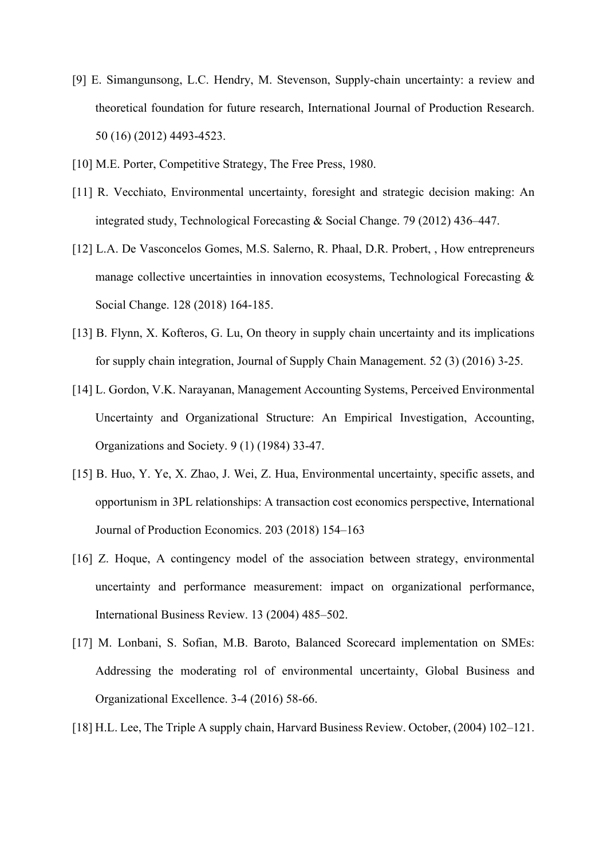- [9] E. Simangunsong, L.C. Hendry, M. Stevenson, Supply-chain uncertainty: a review and theoretical foundation for future research, International Journal of Production Research. 50 (16) (2012) 4493-4523.
- [10] M.E. Porter, Competitive Strategy, The Free Press, 1980.
- [11] R. Vecchiato, Environmental uncertainty, foresight and strategic decision making: An integrated study, Technological Forecasting & Social Change. 79 (2012) 436–447.
- [12] L.A. De Vasconcelos Gomes, M.S. Salerno, R. Phaal, D.R. Probert, , How entrepreneurs manage collective uncertainties in innovation ecosystems, Technological Forecasting & Social Change. 128 (2018) 164-185.
- [13] B. Flynn, X. Kofteros, G. Lu, On theory in supply chain uncertainty and its implications for supply chain integration, Journal of Supply Chain Management. 52 (3) (2016) 3-25.
- [14] L. Gordon, V.K. Narayanan, Management Accounting Systems, Perceived Environmental Uncertainty and Organizational Structure: An Empirical Investigation, Accounting, Organizations and Society. 9 (1) (1984) 33-47.
- [15] B. Huo, Y. Ye, X. Zhao, J. Wei, Z. Hua, Environmental uncertainty, specific assets, and opportunism in 3PL relationships: A transaction cost economics perspective, International Journal of Production Economics. 203 (2018) 154–163
- [16] Z. Hoque, A contingency model of the association between strategy, environmental uncertainty and performance measurement: impact on organizational performance, International Business Review. 13 (2004) 485–502.
- [17] M. Lonbani, S. Sofian, M.B. Baroto, Balanced Scorecard implementation on SMEs: Addressing the moderating rol of environmental uncertainty, Global Business and Organizational Excellence. 3-4 (2016) 58-66.
- [18] H.L. Lee, The Triple A supply chain, Harvard Business Review. October, (2004) 102–121.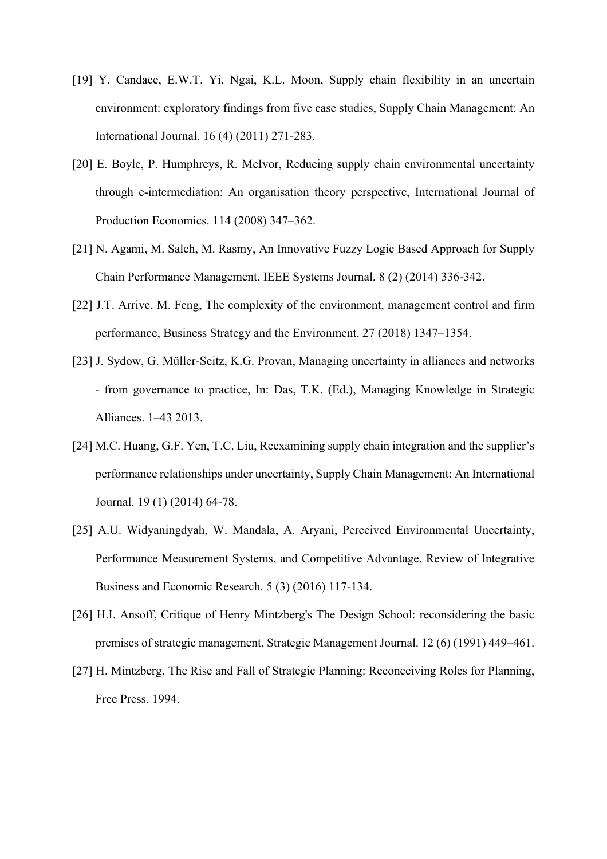- [19] Y. Candace, E.W.T. Yi, Ngai, K.L. Moon, Supply chain flexibility in an uncertain environment: exploratory findings from five case studies, Supply Chain Management: An International Journal. 16 (4) (2011) 271-283.
- [20] E. Boyle, P. Humphreys, R. McIvor, Reducing supply chain environmental uncertainty through e-intermediation: An organisation theory perspective, International Journal of Production Economics. 114 (2008) 347–362.
- [21] N. Agami, M. Saleh, M. Rasmy, An Innovative Fuzzy Logic Based Approach for Supply Chain Performance Management, IEEE Systems Journal. 8 (2) (2014) 336-342.
- [22] J.T. Arrive, M. Feng, The complexity of the environment, management control and firm performance, Business Strategy and the Environment. 27 (2018) 1347–1354.
- [23] J. Sydow, G. Müller-Seitz, K.G. Provan, Managing uncertainty in alliances and networks - from governance to practice, In: Das, T.K. (Ed.), Managing Knowledge in Strategic Alliances. 1–43 2013.
- [24] M.C. Huang, G.F. Yen, T.C. Liu, Reexamining supply chain integration and the supplier's performance relationships under uncertainty, Supply Chain Management: An International Journal. 19 (1) (2014) 64-78.
- [25] A.U. Widyaningdyah, W. Mandala, A. Aryani, Perceived Environmental Uncertainty, Performance Measurement Systems, and Competitive Advantage, Review of Integrative Business and Economic Research. 5 (3) (2016) 117-134.
- [26] H.I. Ansoff, Critique of Henry Mintzberg's The Design School: reconsidering the basic premises of strategic management, Strategic Management Journal. 12 (6) (1991) 449–461.
- [27] H. Mintzberg, The Rise and Fall of Strategic Planning: Reconceiving Roles for Planning, Free Press, 1994.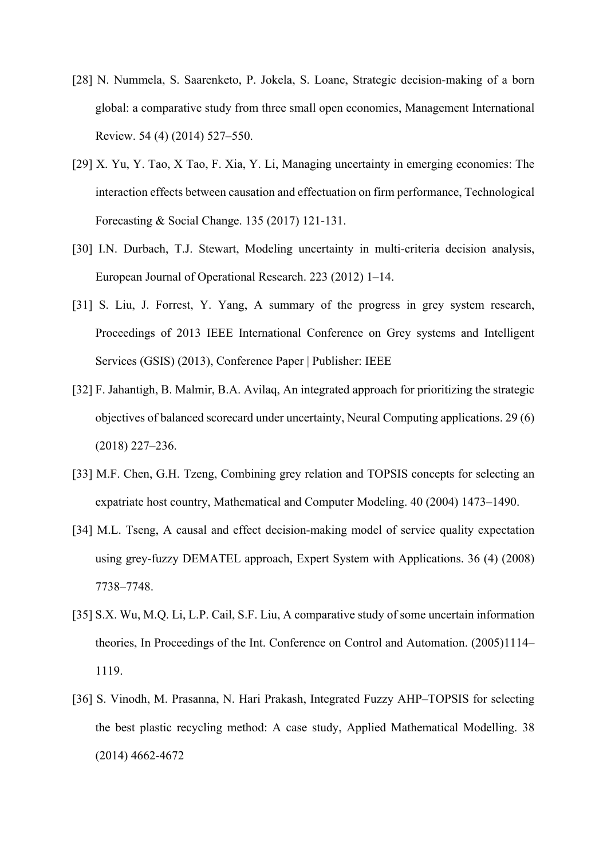- [28] N. Nummela, S. Saarenketo, P. Jokela, S. Loane, Strategic decision-making of a born global: a comparative study from three small open economies, Management International Review. 54 (4) (2014) 527–550.
- [29] X. Yu, Y. Tao, X Tao, F. Xia, Y. Li, Managing uncertainty in emerging economies: The interaction effects between causation and effectuation on firm performance, Technological Forecasting & Social Change. 135 (2017) 121-131.
- [30] I.N. Durbach, T.J. Stewart, Modeling uncertainty in multi-criteria decision analysis, European Journal of Operational Research. 223 (2012) 1–14.
- [31] S. Liu, J. Forrest, Y. Yang, A summary of the progress in grey system research, Proceedings of 2013 IEEE International Conference on Grey systems and Intelligent Services (GSIS) (2013), Conference Paper | Publisher: IEEE
- [32] F. Jahantigh, B. Malmir, B.A. Avilaq, An integrated approach for prioritizing the strategic objectives of balanced scorecard under uncertainty, Neural Computing applications. 29 (6) (2018) 227–236.
- [33] M.F. Chen, G.H. Tzeng, Combining grey relation and TOPSIS concepts for selecting an expatriate host country, Mathematical and Computer Modeling. 40 (2004) 1473–1490.
- [34] M.L. Tseng, A causal and effect decision-making model of service quality expectation using grey-fuzzy DEMATEL approach, Expert System with Applications. 36 (4) (2008) 7738–7748.
- [35] S.X. Wu, M.Q. Li, L.P. Cail, S.F. Liu, A comparative study of some uncertain information theories, In Proceedings of the Int. Conference on Control and Automation. (2005)1114– 1119.
- [36] S. Vinodh, M. Prasanna, N. Hari Prakash, Integrated Fuzzy AHP–TOPSIS for selecting the best plastic recycling method: A case study, Applied Mathematical Modelling. 38 (2014) 4662-4672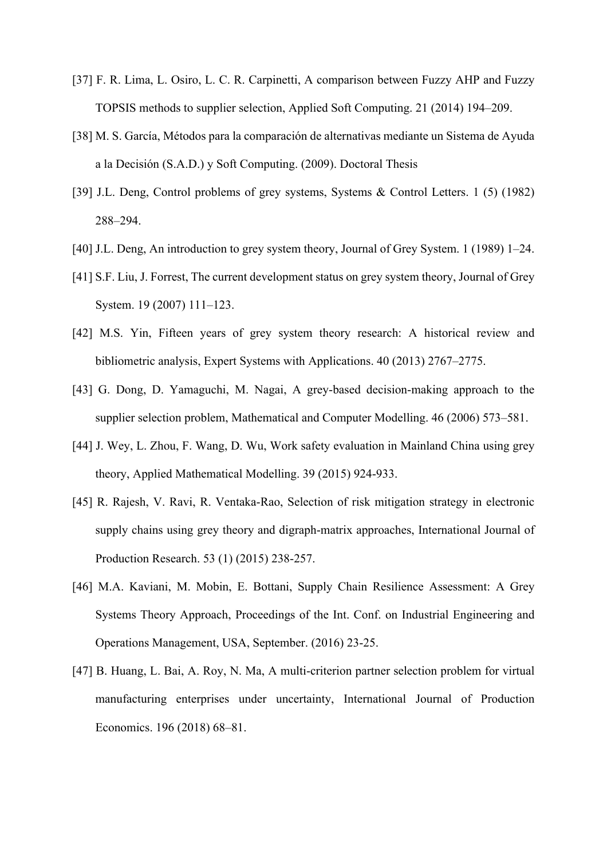- [37] F. R. Lima, L. Osiro, L. C. R. Carpinetti, A comparison between Fuzzy AHP and Fuzzy TOPSIS methods to supplier selection, Applied Soft Computing. 21 (2014) 194–209.
- [38] M. S. García, Métodos para la comparación de alternativas mediante un Sistema de Ayuda a la Decisión (S.A.D.) y Soft Computing. (2009). Doctoral Thesis
- [39] J.L. Deng, Control problems of grey systems, Systems & Control Letters. 1 (5) (1982) 288–294.
- [40] J.L. Deng, An introduction to grey system theory, Journal of Grey System. 1 (1989) 1–24.
- [41] S.F. Liu, J. Forrest, The current development status on grey system theory, Journal of Grey System. 19 (2007) 111–123.
- [42] M.S. Yin, Fifteen years of grey system theory research: A historical review and bibliometric analysis, Expert Systems with Applications. 40 (2013) 2767–2775.
- [43] G. Dong, D. Yamaguchi, M. Nagai, A grey-based decision-making approach to the supplier selection problem, Mathematical and Computer Modelling. 46 (2006) 573–581.
- [44] J. Wey, L. Zhou, F. Wang, D. Wu, Work safety evaluation in Mainland China using grey theory, Applied Mathematical Modelling. 39 (2015) 924-933.
- [45] R. Rajesh, V. Ravi, R. Ventaka-Rao, Selection of risk mitigation strategy in electronic supply chains using grey theory and digraph-matrix approaches, International Journal of Production Research. 53 (1) (2015) 238-257.
- [46] M.A. Kaviani, M. Mobin, E. Bottani, Supply Chain Resilience Assessment: A Grey Systems Theory Approach, Proceedings of the Int. Conf. on Industrial Engineering and Operations Management, USA, September. (2016) 23-25.
- [47] B. Huang, L. Bai, A. Roy, N. Ma, A multi-criterion partner selection problem for virtual manufacturing enterprises under uncertainty, International Journal of Production Economics. 196 (2018) 68–81.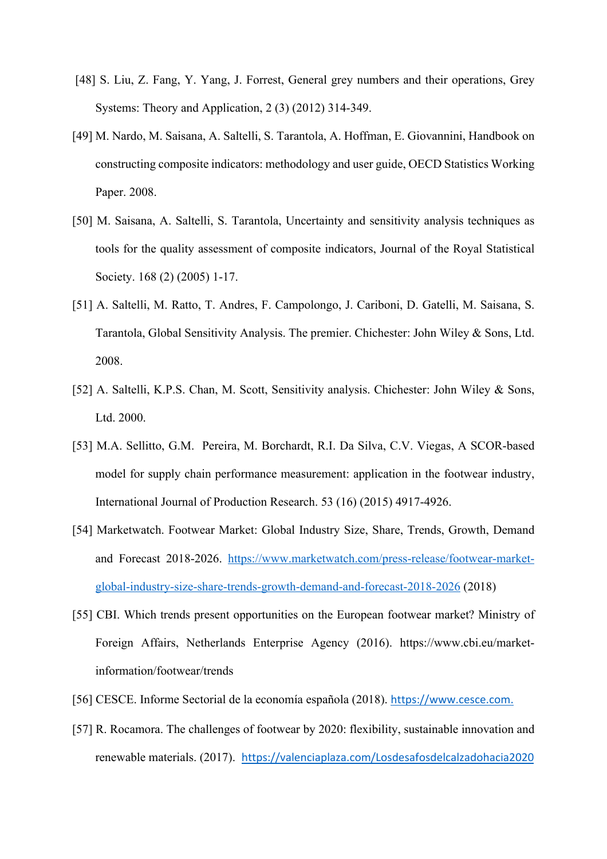- [48] S. Liu, Z. Fang, Y. Yang, J. Forrest, General grey numbers and their operations, Grey Systems: Theory and Application, 2 (3) (2012) 314-349.
- [49] M. Nardo, M. Saisana, A. Saltelli, S. Tarantola, A. Hoffman, E. Giovannini, Handbook on constructing composite indicators: methodology and user guide, OECD Statistics Working Paper. 2008.
- [50] M. Saisana, A. Saltelli, S. Tarantola, Uncertainty and sensitivity analysis techniques as tools for the quality assessment of composite indicators, Journal of the Royal Statistical Society. 168 (2) (2005) 1-17.
- [51] A. Saltelli, M. Ratto, T. Andres, F. Campolongo, J. Cariboni, D. Gatelli, M. Saisana, S. Tarantola, Global Sensitivity Analysis. The premier. Chichester: John Wiley & Sons, Ltd. 2008.
- [52] A. Saltelli, K.P.S. Chan, M. Scott, Sensitivity analysis. Chichester: John Wiley & Sons, Ltd. 2000.
- [53] M.A. Sellitto, G.M. Pereira, M. Borchardt, R.I. Da Silva, C.V. Viegas, A SCOR-based model for supply chain performance measurement: application in the footwear industry, International Journal of Production Research. 53 (16) (2015) 4917-4926.
- [54] Marketwatch. Footwear Market: Global Industry Size, Share, Trends, Growth, Demand and Forecast 2018-2026. https://www.marketwatch.com/press-release/footwear-marketglobal-industry-size-share-trends-growth-demand-and-forecast-2018-2026 (2018)
- [55] CBI. Which trends present opportunities on the European footwear market? Ministry of Foreign Affairs, Netherlands Enterprise Agency (2016). https://www.cbi.eu/marketinformation/footwear/trends
- [56] CESCE. Informe Sectorial de la economía española (2018). https://www.cesce.com.
- [57] R. Rocamora. The challenges of footwear by 2020: flexibility, sustainable innovation and renewable materials. (2017). https://valenciaplaza.com/Losdesafosdelcalzadohacia2020